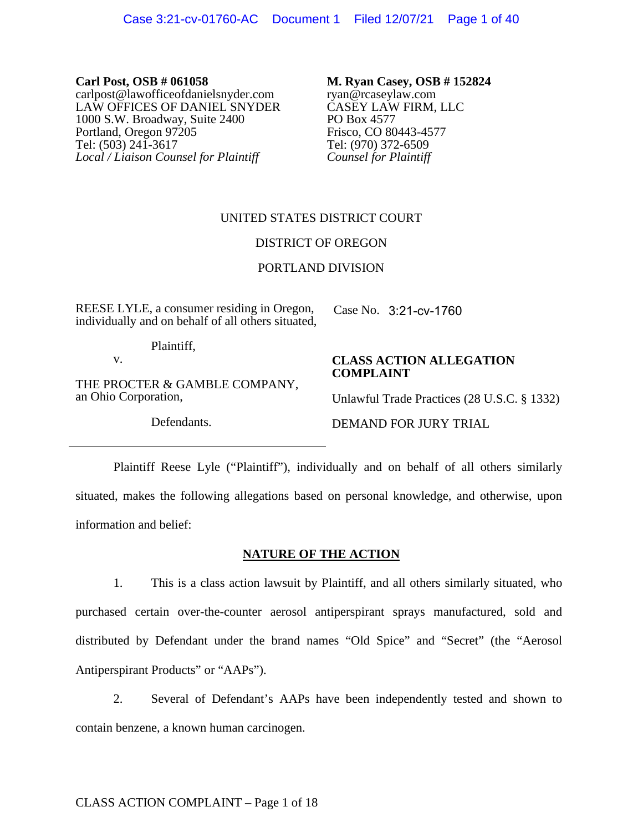**Carl Post, OSB # 061058** carlpost@lawofficeofdanielsnyder.com LAW OFFICES OF DANIEL SNYDER 1000 S.W. Broadway, Suite 2400 Portland, Oregon 97205 Tel: (503) 241-3617 *Local / Liaison Counsel for Plaintiff* 

**M. Ryan Casey, OSB # 152824** ryan@rcaseylaw.com CASEY LAW FIRM, LLC PO Box 4577 Frisco, CO 80443-4577 Tel: (970) 372-6509 *Counsel for Plaintiff* 

# UNITED STATES DISTRICT COURT

## DISTRICT OF OREGON

## PORTLAND DIVISION

REESE LYLE, a consumer residing in Oregon, individually and on behalf of all others situated,

Case No. 3:21-cv-1760

Plaintiff,

v.

THE PROCTER & GAMBLE COMPANY, an Ohio Corporation,

Defendants.

## **CLASS ACTION ALLEGATION COMPLAINT**

Unlawful Trade Practices (28 U.S.C. § 1332)

DEMAND FOR JURY TRIAL

Plaintiff Reese Lyle ("Plaintiff"), individually and on behalf of all others similarly situated, makes the following allegations based on personal knowledge, and otherwise, upon information and belief:

## **NATURE OF THE ACTION**

1. This is a class action lawsuit by Plaintiff, and all others similarly situated, who purchased certain over-the-counter aerosol antiperspirant sprays manufactured, sold and distributed by Defendant under the brand names "Old Spice" and "Secret" (the "Aerosol Antiperspirant Products" or "AAPs").

2. Several of Defendant's AAPs have been independently tested and shown to contain benzene, a known human carcinogen.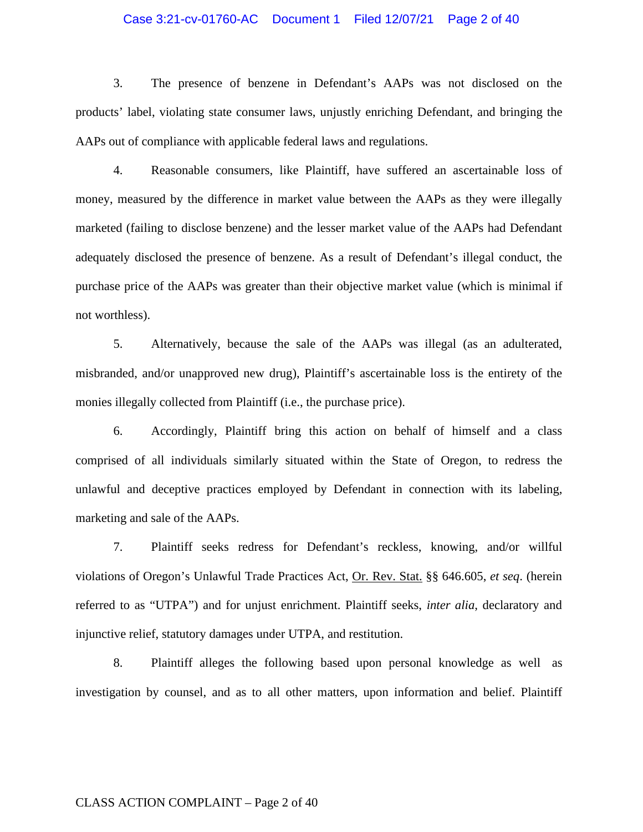## Case 3:21-cv-01760-AC Document 1 Filed 12/07/21 Page 2 of 40

3. The presence of benzene in Defendant's AAPs was not disclosed on the products' label, violating state consumer laws, unjustly enriching Defendant, and bringing the AAPs out of compliance with applicable federal laws and regulations.

4. Reasonable consumers, like Plaintiff, have suffered an ascertainable loss of money, measured by the difference in market value between the AAPs as they were illegally marketed (failing to disclose benzene) and the lesser market value of the AAPs had Defendant adequately disclosed the presence of benzene. As a result of Defendant's illegal conduct, the purchase price of the AAPs was greater than their objective market value (which is minimal if not worthless).

5. Alternatively, because the sale of the AAPs was illegal (as an adulterated, misbranded, and/or unapproved new drug), Plaintiff's ascertainable loss is the entirety of the monies illegally collected from Plaintiff (i.e., the purchase price).

6. Accordingly, Plaintiff bring this action on behalf of himself and a class comprised of all individuals similarly situated within the State of Oregon, to redress the unlawful and deceptive practices employed by Defendant in connection with its labeling, marketing and sale of the AAPs.

7. Plaintiff seeks redress for Defendant's reckless, knowing, and/or willful violations of Oregon's Unlawful Trade Practices Act, Or. Rev. Stat. §§ 646.605, *et seq*. (herein referred to as "UTPA") and for unjust enrichment. Plaintiff seeks, *inter alia*, declaratory and injunctive relief, statutory damages under UTPA, and restitution.

8. Plaintiff alleges the following based upon personal knowledge as well as investigation by counsel, and as to all other matters, upon information and belief. Plaintiff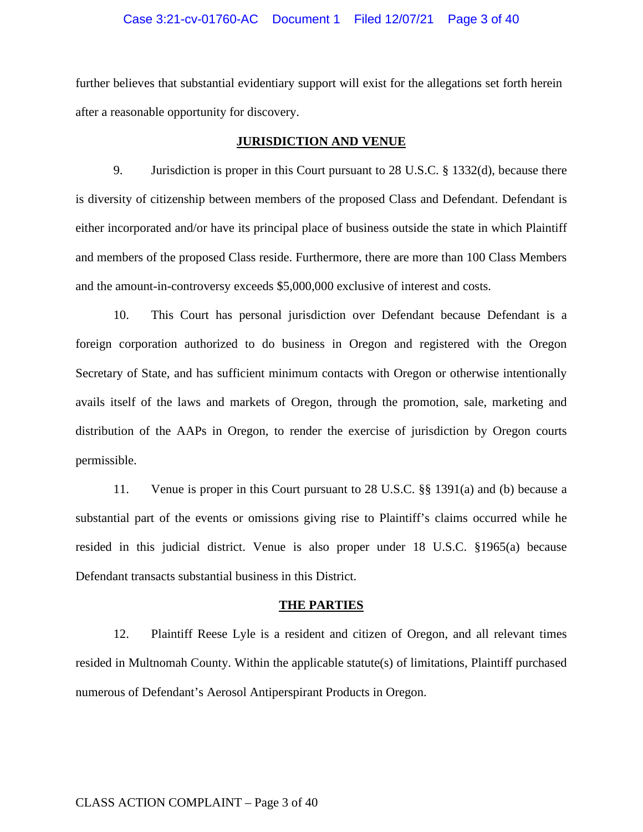## Case 3:21-cv-01760-AC Document 1 Filed 12/07/21 Page 3 of 40

further believes that substantial evidentiary support will exist for the allegations set forth herein after a reasonable opportunity for discovery.

## **JURISDICTION AND VENUE**

9. Jurisdiction is proper in this Court pursuant to 28 U.S.C. § 1332(d), because there is diversity of citizenship between members of the proposed Class and Defendant. Defendant is either incorporated and/or have its principal place of business outside the state in which Plaintiff and members of the proposed Class reside. Furthermore, there are more than 100 Class Members and the amount-in-controversy exceeds \$5,000,000 exclusive of interest and costs.

10. This Court has personal jurisdiction over Defendant because Defendant is a foreign corporation authorized to do business in Oregon and registered with the Oregon Secretary of State, and has sufficient minimum contacts with Oregon or otherwise intentionally avails itself of the laws and markets of Oregon, through the promotion, sale, marketing and distribution of the AAPs in Oregon, to render the exercise of jurisdiction by Oregon courts permissible.

11. Venue is proper in this Court pursuant to 28 U.S.C. §§ 1391(a) and (b) because a substantial part of the events or omissions giving rise to Plaintiff's claims occurred while he resided in this judicial district. Venue is also proper under 18 U.S.C. §1965(a) because Defendant transacts substantial business in this District.

#### **THE PARTIES**

12. Plaintiff Reese Lyle is a resident and citizen of Oregon, and all relevant times resided in Multnomah County. Within the applicable statute(s) of limitations, Plaintiff purchased numerous of Defendant's Aerosol Antiperspirant Products in Oregon.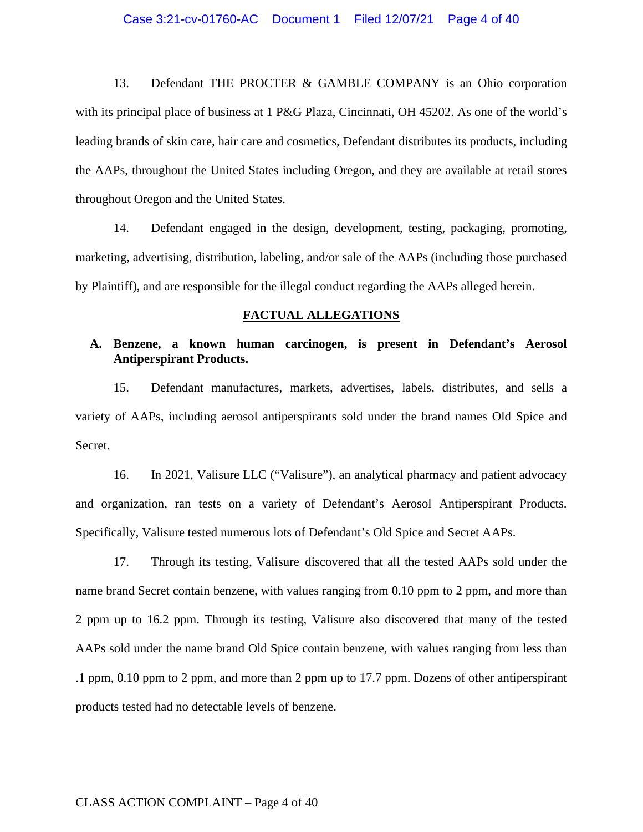## Case 3:21-cv-01760-AC Document 1 Filed 12/07/21 Page 4 of 40

13. Defendant THE PROCTER & GAMBLE COMPANY is an Ohio corporation with its principal place of business at 1 P&G Plaza, Cincinnati, OH 45202. As one of the world's leading brands of skin care, hair care and cosmetics, Defendant distributes its products, including the AAPs, throughout the United States including Oregon, and they are available at retail stores throughout Oregon and the United States.

14. Defendant engaged in the design, development, testing, packaging, promoting, marketing, advertising, distribution, labeling, and/or sale of the AAPs (including those purchased by Plaintiff), and are responsible for the illegal conduct regarding the AAPs alleged herein.

#### **FACTUAL ALLEGATIONS**

# **A. Benzene, a known human carcinogen, is present in Defendant's Aerosol Antiperspirant Products.**

15. Defendant manufactures, markets, advertises, labels, distributes, and sells a variety of AAPs, including aerosol antiperspirants sold under the brand names Old Spice and Secret.

16. In 2021, Valisure LLC ("Valisure"), an analytical pharmacy and patient advocacy and organization, ran tests on a variety of Defendant's Aerosol Antiperspirant Products. Specifically, Valisure tested numerous lots of Defendant's Old Spice and Secret AAPs.

17. Through its testing, Valisure discovered that all the tested AAPs sold under the name brand Secret contain benzene, with values ranging from 0.10 ppm to 2 ppm, and more than 2 ppm up to 16.2 ppm. Through its testing, Valisure also discovered that many of the tested AAPs sold under the name brand Old Spice contain benzene, with values ranging from less than .1 ppm, 0.10 ppm to 2 ppm, and more than 2 ppm up to 17.7 ppm. Dozens of other antiperspirant products tested had no detectable levels of benzene.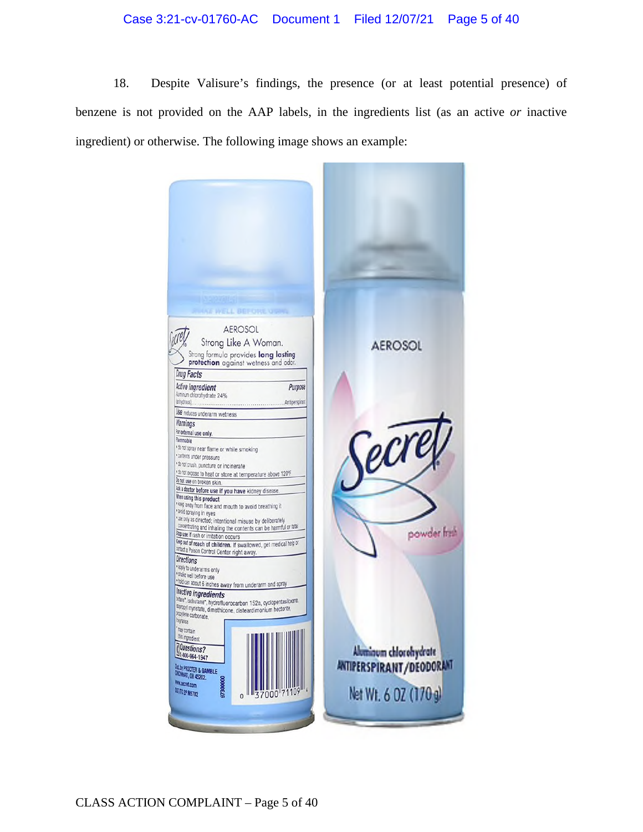## Case 3:21-cv-01760-AC Document 1 Filed 12/07/21 Page 5 of 40

18. Despite Valisure's findings, the presence (or at least potential presence) of benzene is not provided on the AAP labels, in the ingredients list (as an active *or* inactive ingredient) or otherwise. The following image shows an example:

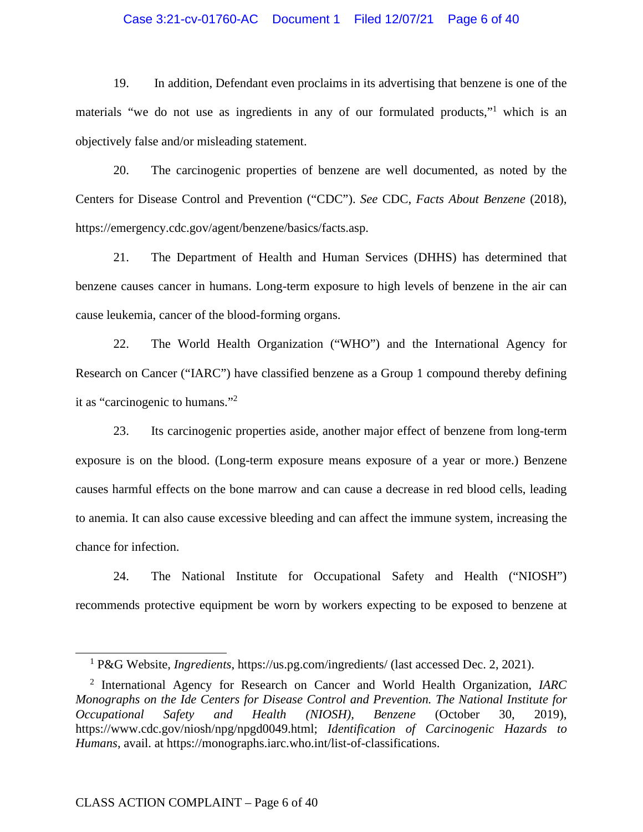## Case 3:21-cv-01760-AC Document 1 Filed 12/07/21 Page 6 of 40

19. In addition, Defendant even proclaims in its advertising that benzene is one of the materials "we do not use as ingredients in any of our formulated products,"<sup>1</sup> which is an objectively false and/or misleading statement.

20. The carcinogenic properties of benzene are well documented, as noted by the Centers for Disease Control and Prevention ("CDC"). *See* CDC, *Facts About Benzene* (2018), https://emergency.cdc.gov/agent/benzene/basics/facts.asp.

21. The Department of Health and Human Services (DHHS) has determined that benzene causes cancer in humans. Long-term exposure to high levels of benzene in the air can cause leukemia, cancer of the blood-forming organs.

22. The World Health Organization ("WHO") and the International Agency for Research on Cancer ("IARC") have classified benzene as a Group 1 compound thereby defining it as "carcinogenic to humans."<sup>2</sup>

23. Its carcinogenic properties aside, another major effect of benzene from long-term exposure is on the blood. (Long-term exposure means exposure of a year or more.) Benzene causes harmful effects on the bone marrow and can cause a decrease in red blood cells, leading to anemia. It can also cause excessive bleeding and can affect the immune system, increasing the chance for infection.

24. The National Institute for Occupational Safety and Health ("NIOSH") recommends protective equipment be worn by workers expecting to be exposed to benzene at

<sup>&</sup>lt;sup>1</sup> P&G Website, *Ingredients*, https://us.pg.com/ingredients/ (last accessed Dec. 2, 2021).

<sup>2</sup> International Agency for Research on Cancer and World Health Organization, *IARC Monographs on the Ide Centers for Disease Control and Prevention. The National Institute for Occupational Safety and Health (NIOSH), Benzene* (October 30, 2019), https://www.cdc.gov/niosh/npg/npgd0049.html; *Identification of Carcinogenic Hazards to Humans*, avail. at https://monographs.iarc.who.int/list-of-classifications.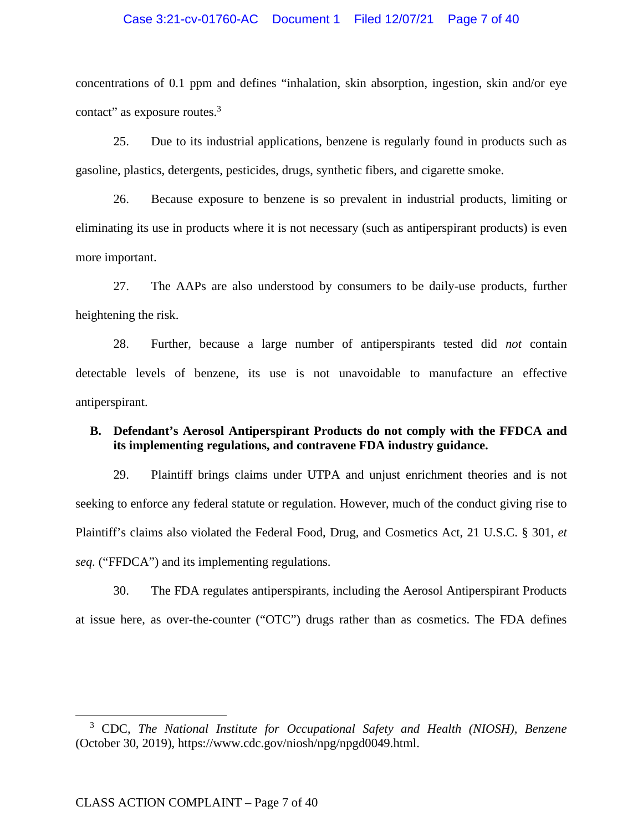## Case 3:21-cv-01760-AC Document 1 Filed 12/07/21 Page 7 of 40

concentrations of 0.1 ppm and defines "inhalation, skin absorption, ingestion, skin and/or eye contact" as exposure routes.<sup>3</sup>

25. Due to its industrial applications, benzene is regularly found in products such as gasoline, plastics, detergents, pesticides, drugs, synthetic fibers, and cigarette smoke.

26. Because exposure to benzene is so prevalent in industrial products, limiting or eliminating its use in products where it is not necessary (such as antiperspirant products) is even more important.

27. The AAPs are also understood by consumers to be daily-use products, further heightening the risk.

28. Further, because a large number of antiperspirants tested did *not* contain detectable levels of benzene, its use is not unavoidable to manufacture an effective antiperspirant.

## **B. Defendant's Aerosol Antiperspirant Products do not comply with the FFDCA and its implementing regulations, and contravene FDA industry guidance.**

29. Plaintiff brings claims under UTPA and unjust enrichment theories and is not seeking to enforce any federal statute or regulation. However, much of the conduct giving rise to Plaintiff's claims also violated the Federal Food, Drug, and Cosmetics Act, 21 U.S.C. § 301, *et seq.* ("FFDCA") and its implementing regulations.

30. The FDA regulates antiperspirants, including the Aerosol Antiperspirant Products at issue here, as over-the-counter ("OTC") drugs rather than as cosmetics. The FDA defines

<sup>3</sup> CDC, *The National Institute for Occupational Safety and Health (NIOSH), Benzene* (October 30, 2019), https://www.cdc.gov/niosh/npg/npgd0049.html.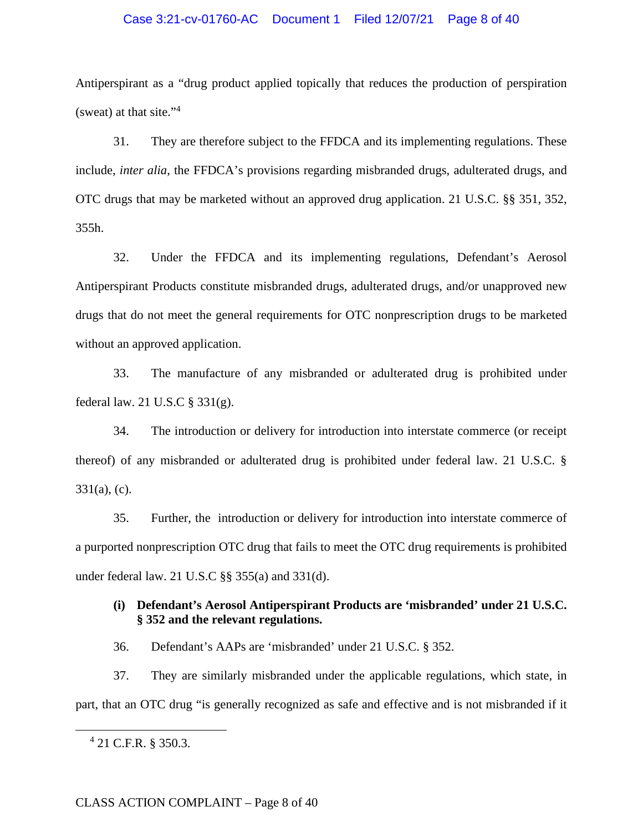## Case 3:21-cv-01760-AC Document 1 Filed 12/07/21 Page 8 of 40

Antiperspirant as a "drug product applied topically that reduces the production of perspiration (sweat) at that site."<sup>4</sup>

31. They are therefore subject to the FFDCA and its implementing regulations. These include, *inter alia*, the FFDCA's provisions regarding misbranded drugs, adulterated drugs, and OTC drugs that may be marketed without an approved drug application. 21 U.S.C. §§ 351, 352, 355h.

32. Under the FFDCA and its implementing regulations, Defendant's Aerosol Antiperspirant Products constitute misbranded drugs, adulterated drugs, and/or unapproved new drugs that do not meet the general requirements for OTC nonprescription drugs to be marketed without an approved application.

33. The manufacture of any misbranded or adulterated drug is prohibited under federal law. 21 U.S.C § 331(g).

34. The introduction or delivery for introduction into interstate commerce (or receipt thereof) of any misbranded or adulterated drug is prohibited under federal law. 21 U.S.C. §  $331(a)$ , (c).

35. Further, the introduction or delivery for introduction into interstate commerce of a purported nonprescription OTC drug that fails to meet the OTC drug requirements is prohibited under federal law. 21 U.S.C §§ 355(a) and 331(d).

# **(i) Defendant's Aerosol Antiperspirant Products are 'misbranded' under 21 U.S.C. § 352 and the relevant regulations.**

36. Defendant's AAPs are 'misbranded' under 21 U.S.C. § 352.

37. They are similarly misbranded under the applicable regulations, which state, in part, that an OTC drug "is generally recognized as safe and effective and is not misbranded if it

<sup>4</sup> 21 C.F.R. § 350.3.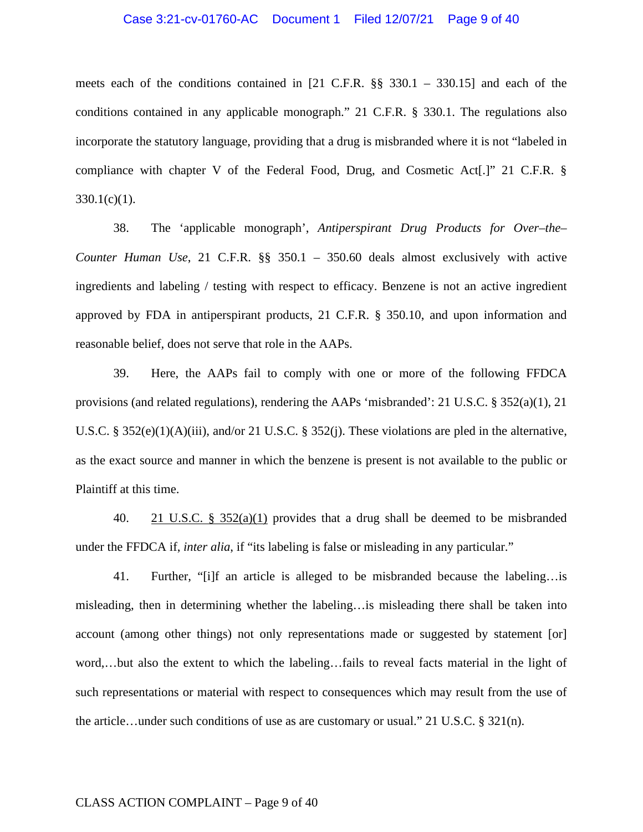## Case 3:21-cv-01760-AC Document 1 Filed 12/07/21 Page 9 of 40

meets each of the conditions contained in [21 C.F.R. §§ 330.1 – 330.15] and each of the conditions contained in any applicable monograph." 21 C.F.R. § 330.1. The regulations also incorporate the statutory language, providing that a drug is misbranded where it is not "labeled in compliance with chapter V of the Federal Food, Drug, and Cosmetic Act[.]" 21 C.F.R. §  $330.1(c)(1)$ .

38. The 'applicable monograph', *Antiperspirant Drug Products for Over–the– Counter Human Use*, 21 C.F.R. §§ 350.1 – 350.60 deals almost exclusively with active ingredients and labeling / testing with respect to efficacy. Benzene is not an active ingredient approved by FDA in antiperspirant products, 21 C.F.R. § 350.10, and upon information and reasonable belief, does not serve that role in the AAPs.

39. Here, the AAPs fail to comply with one or more of the following FFDCA provisions (and related regulations), rendering the AAPs 'misbranded': 21 U.S.C. § 352(a)(1), 21 U.S.C. § 352(e)(1)(A)(iii), and/or 21 U.S.C. § 352(j). These violations are pled in the alternative, as the exact source and manner in which the benzene is present is not available to the public or Plaintiff at this time.

40. 21 U.S.C. §  $352(a)(1)$  provides that a drug shall be deemed to be misbranded under the FFDCA if, *inter alia*, if "its labeling is false or misleading in any particular."

41. Further, "[i]f an article is alleged to be misbranded because the labeling…is misleading, then in determining whether the labeling…is misleading there shall be taken into account (among other things) not only representations made or suggested by statement [or] word,…but also the extent to which the labeling…fails to reveal facts material in the light of such representations or material with respect to consequences which may result from the use of the article…under such conditions of use as are customary or usual." 21 U.S.C.  $\S 321(n)$ .

## CLASS ACTION COMPLAINT – Page 9 of 40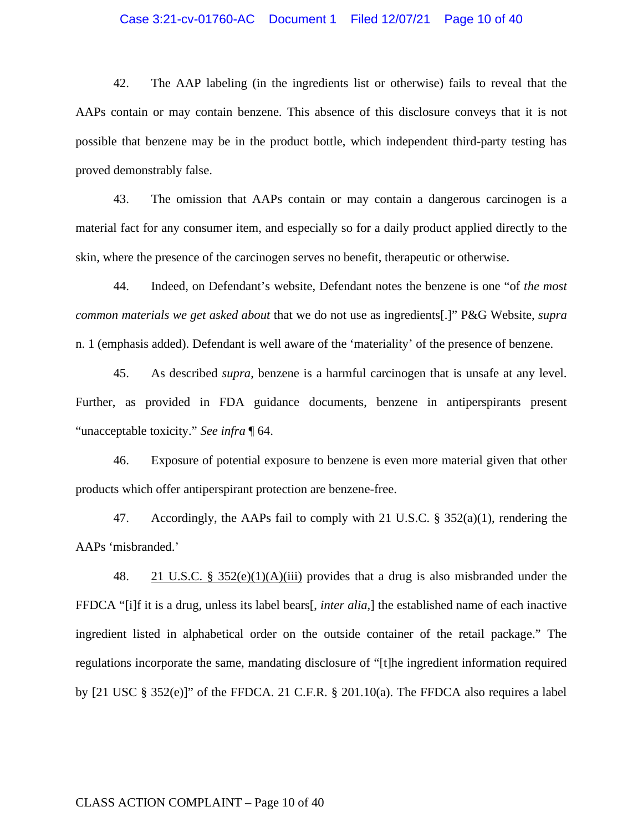## Case 3:21-cv-01760-AC Document 1 Filed 12/07/21 Page 10 of 40

42. The AAP labeling (in the ingredients list or otherwise) fails to reveal that the AAPs contain or may contain benzene. This absence of this disclosure conveys that it is not possible that benzene may be in the product bottle, which independent third-party testing has proved demonstrably false.

43. The omission that AAPs contain or may contain a dangerous carcinogen is a material fact for any consumer item, and especially so for a daily product applied directly to the skin, where the presence of the carcinogen serves no benefit, therapeutic or otherwise.

44. Indeed, on Defendant's website, Defendant notes the benzene is one "of *the most common materials we get asked about* that we do not use as ingredients[.]" P&G Website, *supra*  n. 1 (emphasis added). Defendant is well aware of the 'materiality' of the presence of benzene.

45. As described *supra*, benzene is a harmful carcinogen that is unsafe at any level. Further, as provided in FDA guidance documents, benzene in antiperspirants present "unacceptable toxicity." *See infra* ¶ 64.

46. Exposure of potential exposure to benzene is even more material given that other products which offer antiperspirant protection are benzene-free.

47. Accordingly, the AAPs fail to comply with 21 U.S.C. § 352(a)(1), rendering the AAPs 'misbranded.'

48. 21 U.S.C. § 352(e)(1)(A)(iii) provides that a drug is also misbranded under the FFDCA "[i]f it is a drug, unless its label bears[, *inter alia*,] the established name of each inactive ingredient listed in alphabetical order on the outside container of the retail package." The regulations incorporate the same, mandating disclosure of "[t]he ingredient information required by [21 USC § 352(e)]" of the FFDCA. 21 C.F.R. § 201.10(a). The FFDCA also requires a label

## CLASS ACTION COMPLAINT – Page 10 of 40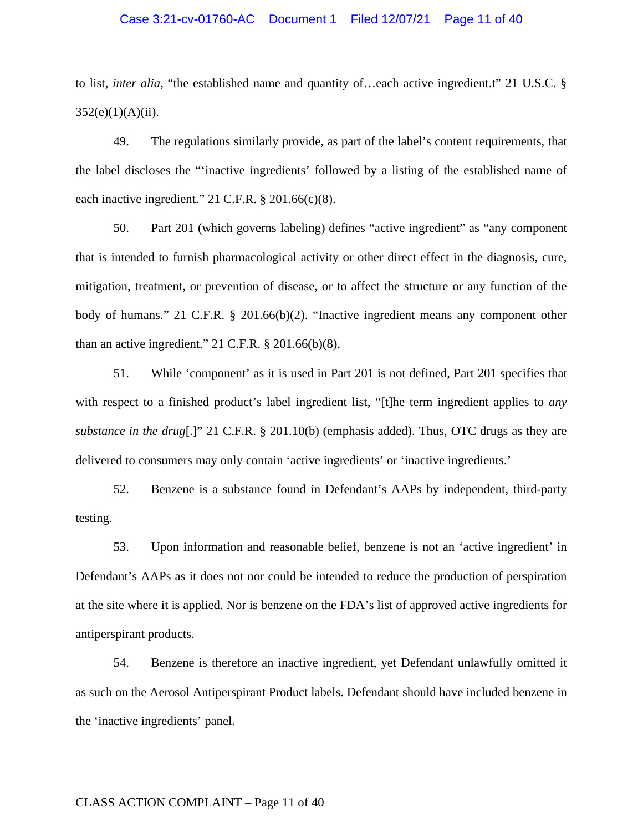#### Case 3:21-cv-01760-AC Document 1 Filed 12/07/21 Page 11 of 40

to list, *inter alia*, "the established name and quantity of…each active ingredient.t" 21 U.S.C. §  $352(e)(1)(A)(ii)$ .

49. The regulations similarly provide, as part of the label's content requirements, that the label discloses the "'inactive ingredients' followed by a listing of the established name of each inactive ingredient." 21 C.F.R. § 201.66(c)(8).

50. Part 201 (which governs labeling) defines "active ingredient" as "any component that is intended to furnish pharmacological activity or other direct effect in the diagnosis, cure, mitigation, treatment, or prevention of disease, or to affect the structure or any function of the body of humans." 21 C.F.R. § 201.66(b)(2). "Inactive ingredient means any component other than an active ingredient."  $21$  C.F.R.  $\S 201.66(b)(8)$ .

51. While 'component' as it is used in Part 201 is not defined, Part 201 specifies that with respect to a finished product's label ingredient list, "[t]he term ingredient applies to *any substance in the drug*[.]" 21 C.F.R. § 201.10(b) (emphasis added). Thus, OTC drugs as they are delivered to consumers may only contain 'active ingredients' or 'inactive ingredients.'

52. Benzene is a substance found in Defendant's AAPs by independent, third-party testing.

53. Upon information and reasonable belief, benzene is not an 'active ingredient' in Defendant's AAPs as it does not nor could be intended to reduce the production of perspiration at the site where it is applied. Nor is benzene on the FDA's list of approved active ingredients for antiperspirant products.

54. Benzene is therefore an inactive ingredient, yet Defendant unlawfully omitted it as such on the Aerosol Antiperspirant Product labels. Defendant should have included benzene in the 'inactive ingredients' panel.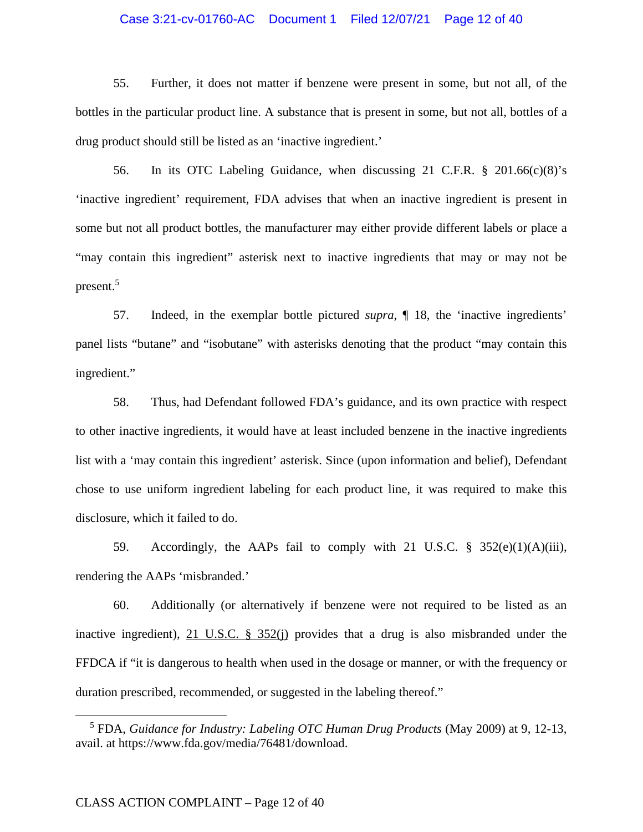## Case 3:21-cv-01760-AC Document 1 Filed 12/07/21 Page 12 of 40

55. Further, it does not matter if benzene were present in some, but not all, of the bottles in the particular product line. A substance that is present in some, but not all, bottles of a drug product should still be listed as an 'inactive ingredient.'

56. In its OTC Labeling Guidance, when discussing 21 C.F.R. § 201.66(c)(8)'s 'inactive ingredient' requirement, FDA advises that when an inactive ingredient is present in some but not all product bottles, the manufacturer may either provide different labels or place a "may contain this ingredient" asterisk next to inactive ingredients that may or may not be present.<sup>5</sup>

57. Indeed, in the exemplar bottle pictured *supra*, ¶ 18, the 'inactive ingredients' panel lists "butane" and "isobutane" with asterisks denoting that the product "may contain this ingredient."

58. Thus, had Defendant followed FDA's guidance, and its own practice with respect to other inactive ingredients, it would have at least included benzene in the inactive ingredients list with a 'may contain this ingredient' asterisk. Since (upon information and belief), Defendant chose to use uniform ingredient labeling for each product line, it was required to make this disclosure, which it failed to do.

59. Accordingly, the AAPs fail to comply with 21 U.S.C. § 352(e)(1)(A)(iii), rendering the AAPs 'misbranded.'

60. Additionally (or alternatively if benzene were not required to be listed as an inactive ingredient), 21 U.S.C. § 352(j) provides that a drug is also misbranded under the FFDCA if "it is dangerous to health when used in the dosage or manner, or with the frequency or duration prescribed, recommended, or suggested in the labeling thereof."

<sup>5</sup> FDA, *Guidance for Industry: Labeling OTC Human Drug Products* (May 2009) at 9, 12-13, avail. at https://www.fda.gov/media/76481/download.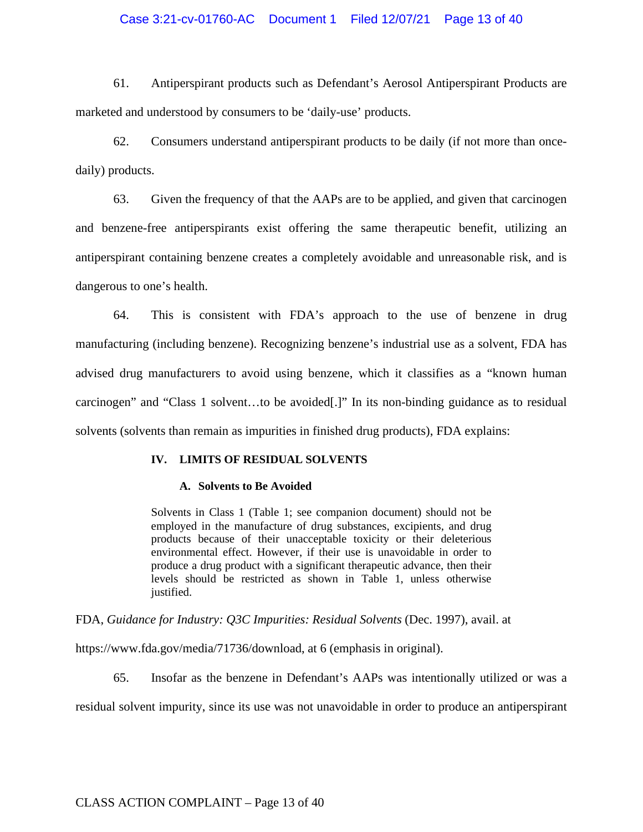## Case 3:21-cv-01760-AC Document 1 Filed 12/07/21 Page 13 of 40

61. Antiperspirant products such as Defendant's Aerosol Antiperspirant Products are marketed and understood by consumers to be 'daily-use' products.

62. Consumers understand antiperspirant products to be daily (if not more than oncedaily) products.

63. Given the frequency of that the AAPs are to be applied, and given that carcinogen and benzene-free antiperspirants exist offering the same therapeutic benefit, utilizing an antiperspirant containing benzene creates a completely avoidable and unreasonable risk, and is dangerous to one's health.

64. This is consistent with FDA's approach to the use of benzene in drug manufacturing (including benzene). Recognizing benzene's industrial use as a solvent, FDA has advised drug manufacturers to avoid using benzene, which it classifies as a "known human carcinogen" and "Class 1 solvent…to be avoided[.]" In its non-binding guidance as to residual solvents (solvents than remain as impurities in finished drug products), FDA explains:

## **IV. LIMITS OF RESIDUAL SOLVENTS**

#### **A. Solvents to Be Avoided**

Solvents in Class 1 (Table 1; see companion document) should not be employed in the manufacture of drug substances, excipients, and drug products because of their unacceptable toxicity or their deleterious environmental effect. However, if their use is unavoidable in order to produce a drug product with a significant therapeutic advance, then their levels should be restricted as shown in Table 1, unless otherwise justified.

FDA, *Guidance for Industry: Q3C Impurities: Residual Solvents* (Dec. 1997), avail. at

https://www.fda.gov/media/71736/download, at 6 (emphasis in original).

65. Insofar as the benzene in Defendant's AAPs was intentionally utilized or was a

residual solvent impurity, since its use was not unavoidable in order to produce an antiperspirant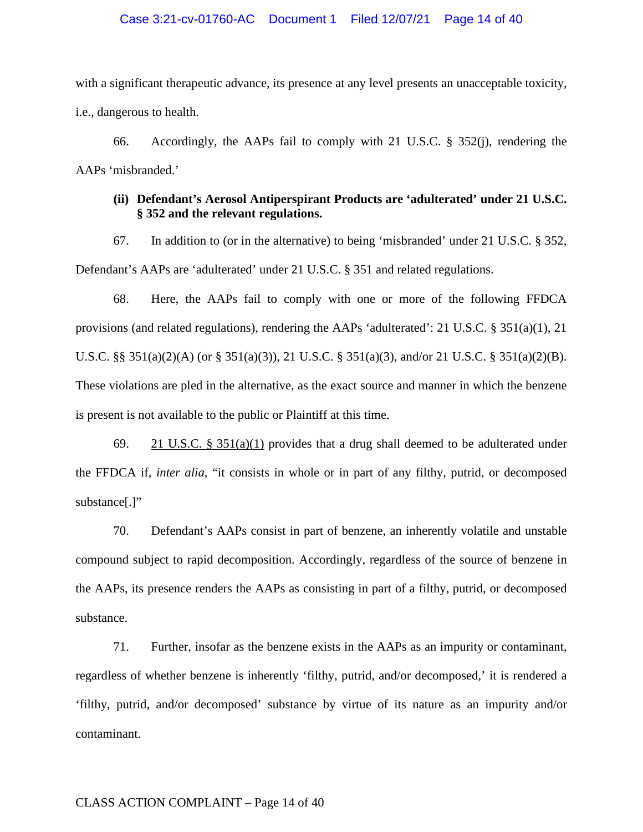## Case 3:21-cv-01760-AC Document 1 Filed 12/07/21 Page 14 of 40

with a significant therapeutic advance, its presence at any level presents an unacceptable toxicity, i.e., dangerous to health.

66. Accordingly, the AAPs fail to comply with 21 U.S.C. § 352(j), rendering the AAPs 'misbranded.'

## **(ii) Defendant's Aerosol Antiperspirant Products are 'adulterated' under 21 U.S.C. § 352 and the relevant regulations.**

67. In addition to (or in the alternative) to being 'misbranded' under 21 U.S.C. § 352, Defendant's AAPs are 'adulterated' under 21 U.S.C. § 351 and related regulations.

68. Here, the AAPs fail to comply with one or more of the following FFDCA provisions (and related regulations), rendering the AAPs 'adulterated': 21 U.S.C. § 351(a)(1), 21 U.S.C. §§ 351(a)(2)(A) (or § 351(a)(3)), 21 U.S.C. § 351(a)(3), and/or 21 U.S.C. § 351(a)(2)(B). These violations are pled in the alternative, as the exact source and manner in which the benzene is present is not available to the public or Plaintiff at this time.

69. 21 U.S.C. § 351(a)(1) provides that a drug shall deemed to be adulterated under the FFDCA if, *inter alia*, "it consists in whole or in part of any filthy, putrid, or decomposed substance[.]"

70. Defendant's AAPs consist in part of benzene, an inherently volatile and unstable compound subject to rapid decomposition. Accordingly, regardless of the source of benzene in the AAPs, its presence renders the AAPs as consisting in part of a filthy, putrid, or decomposed substance.

71. Further, insofar as the benzene exists in the AAPs as an impurity or contaminant, regardless of whether benzene is inherently 'filthy, putrid, and/or decomposed,' it is rendered a 'filthy, putrid, and/or decomposed' substance by virtue of its nature as an impurity and/or contaminant.

## CLASS ACTION COMPLAINT – Page 14 of 40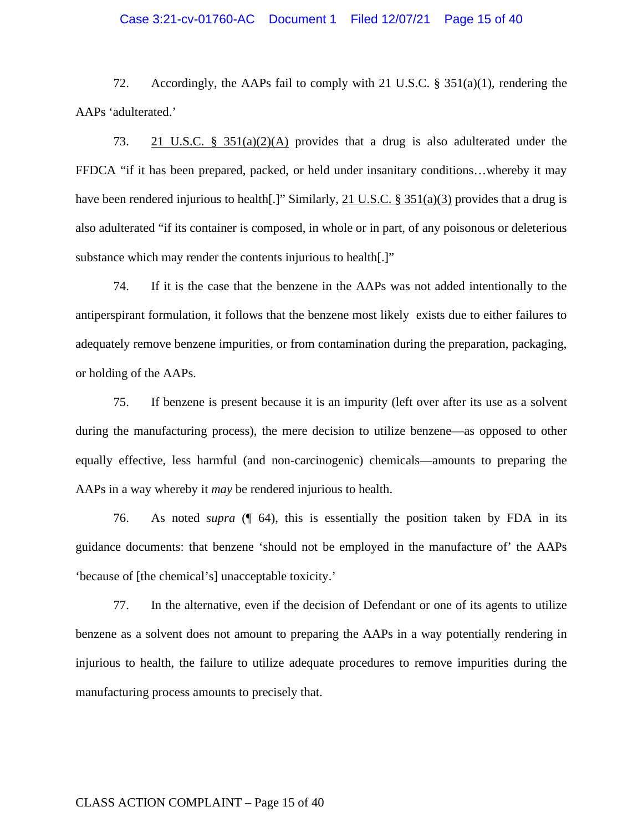## Case 3:21-cv-01760-AC Document 1 Filed 12/07/21 Page 15 of 40

72. Accordingly, the AAPs fail to comply with 21 U.S.C. § 351(a)(1), rendering the AAPs 'adulterated.'

73. 21 U.S.C. § 351(a)(2)(A) provides that a drug is also adulterated under the FFDCA "if it has been prepared, packed, or held under insanitary conditions…whereby it may have been rendered injurious to health[.]" Similarly, 21 U.S.C. § 351(a)(3) provides that a drug is also adulterated "if its container is composed, in whole or in part, of any poisonous or deleterious substance which may render the contents injurious to health[.]"

74. If it is the case that the benzene in the AAPs was not added intentionally to the antiperspirant formulation, it follows that the benzene most likely exists due to either failures to adequately remove benzene impurities, or from contamination during the preparation, packaging, or holding of the AAPs.

75. If benzene is present because it is an impurity (left over after its use as a solvent during the manufacturing process), the mere decision to utilize benzene—as opposed to other equally effective, less harmful (and non-carcinogenic) chemicals—amounts to preparing the AAPs in a way whereby it *may* be rendered injurious to health.

76. As noted *supra* (¶ 64), this is essentially the position taken by FDA in its guidance documents: that benzene 'should not be employed in the manufacture of' the AAPs 'because of [the chemical's] unacceptable toxicity.'

77. In the alternative, even if the decision of Defendant or one of its agents to utilize benzene as a solvent does not amount to preparing the AAPs in a way potentially rendering in injurious to health, the failure to utilize adequate procedures to remove impurities during the manufacturing process amounts to precisely that.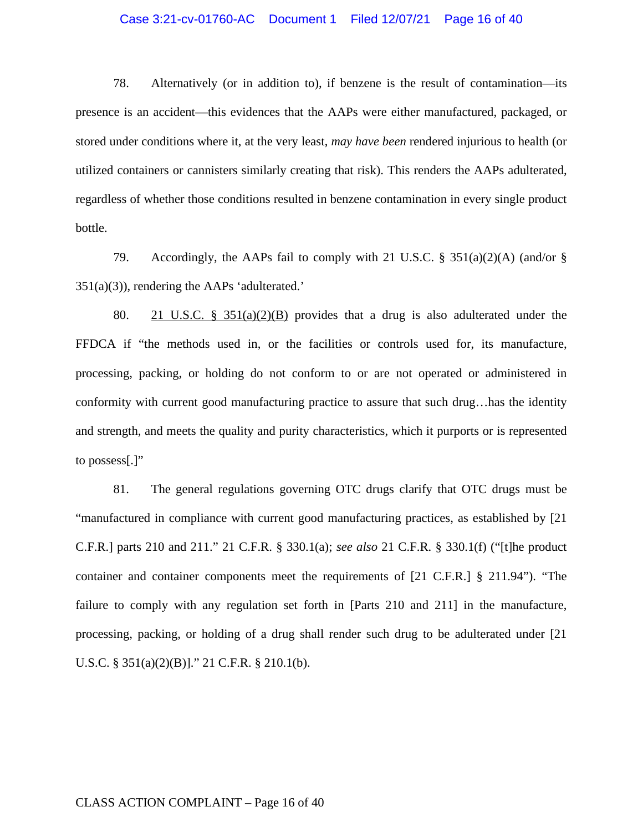## Case 3:21-cv-01760-AC Document 1 Filed 12/07/21 Page 16 of 40

78. Alternatively (or in addition to), if benzene is the result of contamination—its presence is an accident—this evidences that the AAPs were either manufactured, packaged, or stored under conditions where it, at the very least, *may have been* rendered injurious to health (or utilized containers or cannisters similarly creating that risk). This renders the AAPs adulterated, regardless of whether those conditions resulted in benzene contamination in every single product bottle.

79. Accordingly, the AAPs fail to comply with 21 U.S.C. § 351(a)(2)(A) (and/or § 351(a)(3)), rendering the AAPs 'adulterated.'

80. 21 U.S.C. § 351(a)(2)(B) provides that a drug is also adulterated under the FFDCA if "the methods used in, or the facilities or controls used for, its manufacture, processing, packing, or holding do not conform to or are not operated or administered in conformity with current good manufacturing practice to assure that such drug…has the identity and strength, and meets the quality and purity characteristics, which it purports or is represented to possess[.]"

81. The general regulations governing OTC drugs clarify that OTC drugs must be "manufactured in compliance with current good manufacturing practices, as established by [21 C.F.R.] parts 210 and 211." 21 C.F.R. § 330.1(a); *see also* 21 C.F.R. § 330.1(f) ("[t]he product container and container components meet the requirements of [21 C.F.R.] § 211.94"). "The failure to comply with any regulation set forth in [Parts 210 and 211] in the manufacture, processing, packing, or holding of a drug shall render such drug to be adulterated under [21 U.S.C. § 351(a)(2)(B)]." 21 C.F.R. § 210.1(b).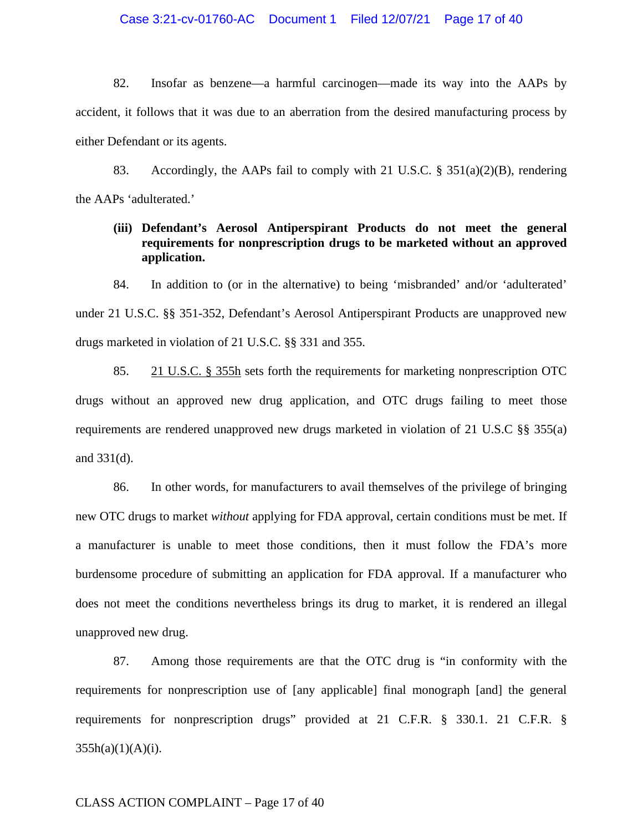## Case 3:21-cv-01760-AC Document 1 Filed 12/07/21 Page 17 of 40

82. Insofar as benzene—a harmful carcinogen—made its way into the AAPs by accident, it follows that it was due to an aberration from the desired manufacturing process by either Defendant or its agents.

83. Accordingly, the AAPs fail to comply with 21 U.S.C. § 351(a)(2)(B), rendering the AAPs 'adulterated.'

# **(iii) Defendant's Aerosol Antiperspirant Products do not meet the general requirements for nonprescription drugs to be marketed without an approved application.**

84. In addition to (or in the alternative) to being 'misbranded' and/or 'adulterated' under 21 U.S.C. §§ 351-352, Defendant's Aerosol Antiperspirant Products are unapproved new drugs marketed in violation of 21 U.S.C. §§ 331 and 355.

85. 21 U.S.C. § 355h sets forth the requirements for marketing nonprescription OTC drugs without an approved new drug application, and OTC drugs failing to meet those requirements are rendered unapproved new drugs marketed in violation of 21 U.S.C §§ 355(a) and 331(d).

86. In other words, for manufacturers to avail themselves of the privilege of bringing new OTC drugs to market *without* applying for FDA approval, certain conditions must be met. If a manufacturer is unable to meet those conditions, then it must follow the FDA's more burdensome procedure of submitting an application for FDA approval. If a manufacturer who does not meet the conditions nevertheless brings its drug to market, it is rendered an illegal unapproved new drug.

87. Among those requirements are that the OTC drug is "in conformity with the requirements for nonprescription use of [any applicable] final monograph [and] the general requirements for nonprescription drugs" provided at 21 C.F.R. § 330.1. 21 C.F.R. §  $355h(a)(1)(A)(i)$ .

## CLASS ACTION COMPLAINT – Page 17 of 40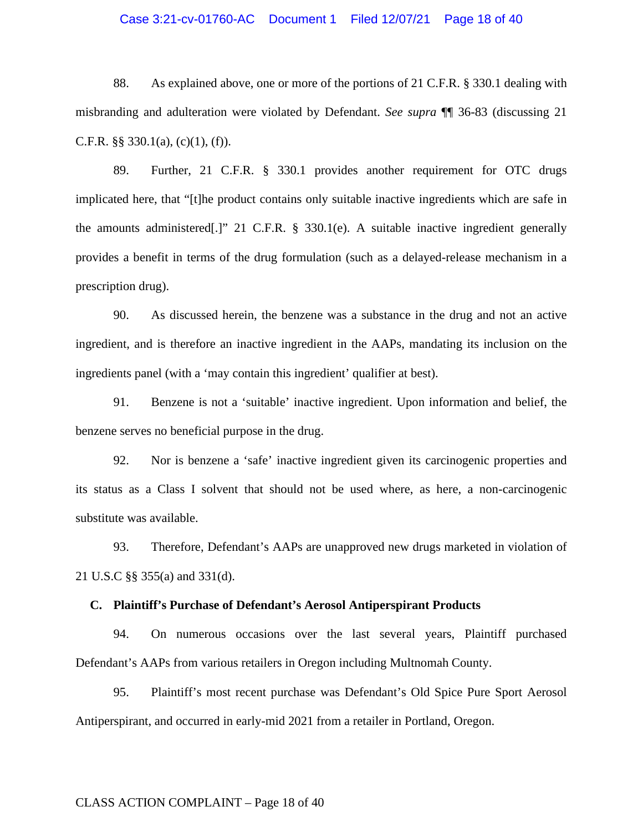## Case 3:21-cv-01760-AC Document 1 Filed 12/07/21 Page 18 of 40

88. As explained above, one or more of the portions of 21 C.F.R. § 330.1 dealing with misbranding and adulteration were violated by Defendant. *See supra* ¶¶ 36-83 (discussing 21 C.F.R.  $\S$ § 330.1(a), (c)(1), (f)).

89. Further, 21 C.F.R. § 330.1 provides another requirement for OTC drugs implicated here, that "[t]he product contains only suitable inactive ingredients which are safe in the amounts administered[.]" 21 C.F.R. § 330.1(e). A suitable inactive ingredient generally provides a benefit in terms of the drug formulation (such as a delayed-release mechanism in a prescription drug).

90. As discussed herein, the benzene was a substance in the drug and not an active ingredient, and is therefore an inactive ingredient in the AAPs, mandating its inclusion on the ingredients panel (with a 'may contain this ingredient' qualifier at best).

91. Benzene is not a 'suitable' inactive ingredient. Upon information and belief, the benzene serves no beneficial purpose in the drug.

92. Nor is benzene a 'safe' inactive ingredient given its carcinogenic properties and its status as a Class I solvent that should not be used where, as here, a non-carcinogenic substitute was available.

93. Therefore, Defendant's AAPs are unapproved new drugs marketed in violation of 21 U.S.C §§ 355(a) and 331(d).

## **C. Plaintiff's Purchase of Defendant's Aerosol Antiperspirant Products**

94. On numerous occasions over the last several years, Plaintiff purchased Defendant's AAPs from various retailers in Oregon including Multnomah County.

95. Plaintiff's most recent purchase was Defendant's Old Spice Pure Sport Aerosol Antiperspirant, and occurred in early-mid 2021 from a retailer in Portland, Oregon.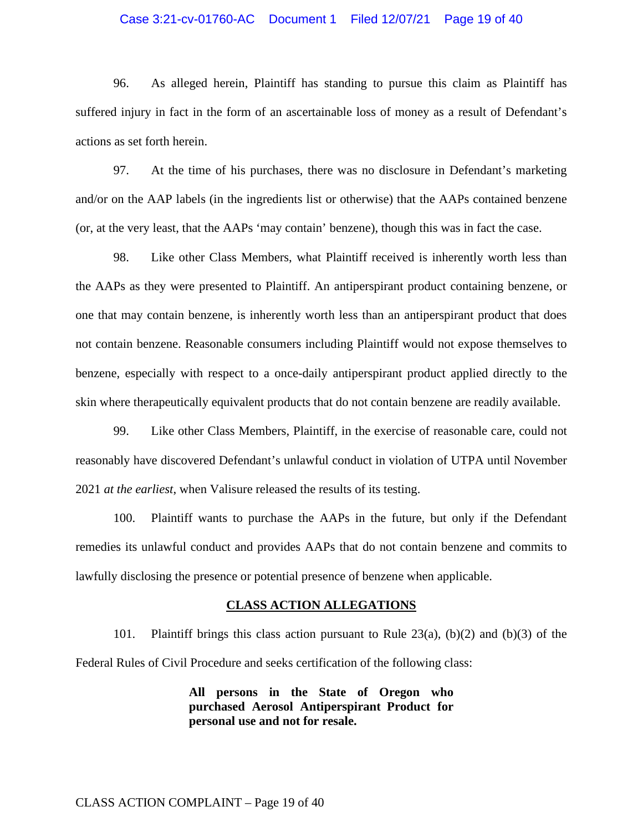## Case 3:21-cv-01760-AC Document 1 Filed 12/07/21 Page 19 of 40

96. As alleged herein, Plaintiff has standing to pursue this claim as Plaintiff has suffered injury in fact in the form of an ascertainable loss of money as a result of Defendant's actions as set forth herein.

97. At the time of his purchases, there was no disclosure in Defendant's marketing and/or on the AAP labels (in the ingredients list or otherwise) that the AAPs contained benzene (or, at the very least, that the AAPs 'may contain' benzene), though this was in fact the case.

98. Like other Class Members, what Plaintiff received is inherently worth less than the AAPs as they were presented to Plaintiff. An antiperspirant product containing benzene, or one that may contain benzene, is inherently worth less than an antiperspirant product that does not contain benzene. Reasonable consumers including Plaintiff would not expose themselves to benzene, especially with respect to a once-daily antiperspirant product applied directly to the skin where therapeutically equivalent products that do not contain benzene are readily available.

99. Like other Class Members, Plaintiff, in the exercise of reasonable care, could not reasonably have discovered Defendant's unlawful conduct in violation of UTPA until November 2021 *at the earliest*, when Valisure released the results of its testing.

100. Plaintiff wants to purchase the AAPs in the future, but only if the Defendant remedies its unlawful conduct and provides AAPs that do not contain benzene and commits to lawfully disclosing the presence or potential presence of benzene when applicable.

#### **CLASS ACTION ALLEGATIONS**

101. Plaintiff brings this class action pursuant to Rule 23(a), (b)(2) and (b)(3) of the Federal Rules of Civil Procedure and seeks certification of the following class:

> **All persons in the State of Oregon who purchased Aerosol Antiperspirant Product for personal use and not for resale.**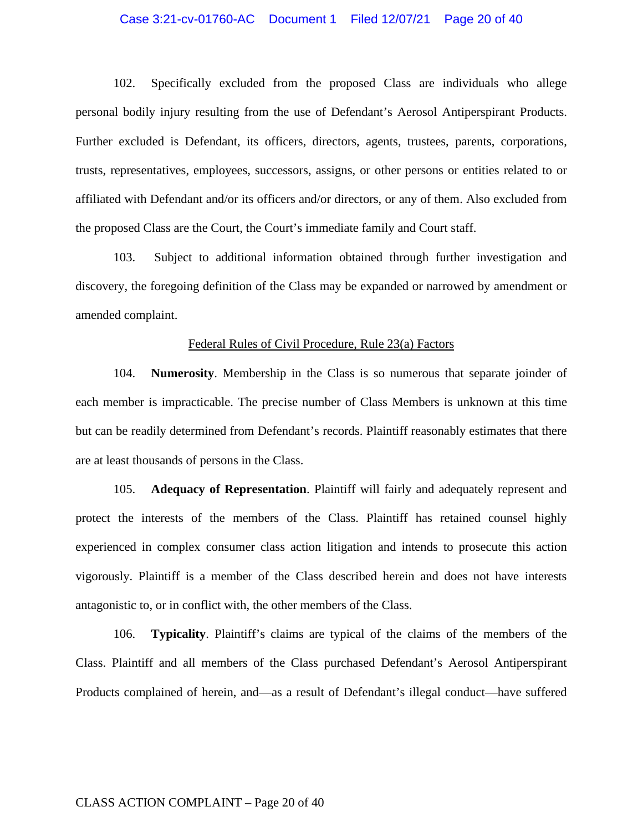## Case 3:21-cv-01760-AC Document 1 Filed 12/07/21 Page 20 of 40

102. Specifically excluded from the proposed Class are individuals who allege personal bodily injury resulting from the use of Defendant's Aerosol Antiperspirant Products. Further excluded is Defendant, its officers, directors, agents, trustees, parents, corporations, trusts, representatives, employees, successors, assigns, or other persons or entities related to or affiliated with Defendant and/or its officers and/or directors, or any of them. Also excluded from the proposed Class are the Court, the Court's immediate family and Court staff.

103. Subject to additional information obtained through further investigation and discovery, the foregoing definition of the Class may be expanded or narrowed by amendment or amended complaint.

#### Federal Rules of Civil Procedure, Rule 23(a) Factors

104. **Numerosity**. Membership in the Class is so numerous that separate joinder of each member is impracticable. The precise number of Class Members is unknown at this time but can be readily determined from Defendant's records. Plaintiff reasonably estimates that there are at least thousands of persons in the Class.

105. **Adequacy of Representation**. Plaintiff will fairly and adequately represent and protect the interests of the members of the Class. Plaintiff has retained counsel highly experienced in complex consumer class action litigation and intends to prosecute this action vigorously. Plaintiff is a member of the Class described herein and does not have interests antagonistic to, or in conflict with, the other members of the Class.

106. **Typicality**. Plaintiff's claims are typical of the claims of the members of the Class. Plaintiff and all members of the Class purchased Defendant's Aerosol Antiperspirant Products complained of herein, and—as a result of Defendant's illegal conduct—have suffered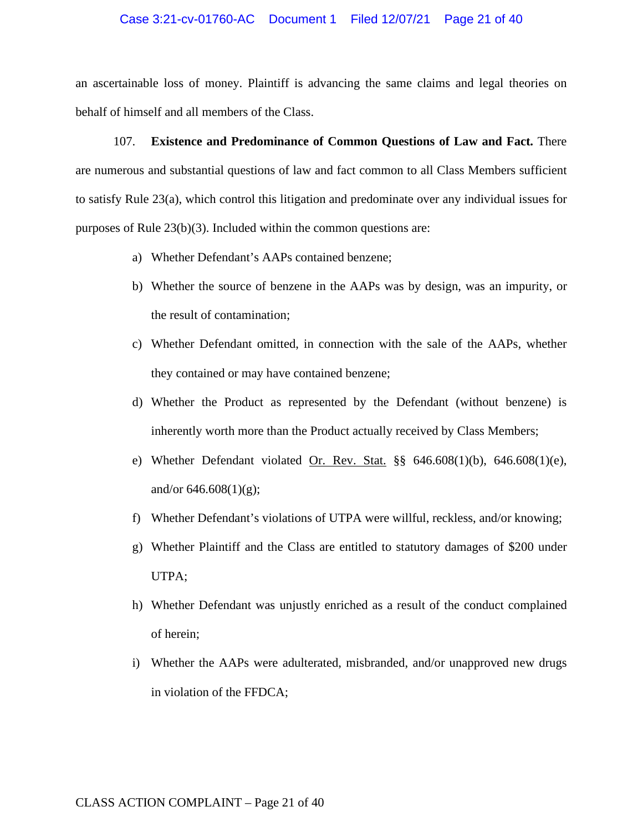### Case 3:21-cv-01760-AC Document 1 Filed 12/07/21 Page 21 of 40

an ascertainable loss of money. Plaintiff is advancing the same claims and legal theories on behalf of himself and all members of the Class.

107. **Existence and Predominance of Common Questions of Law and Fact.** There are numerous and substantial questions of law and fact common to all Class Members sufficient to satisfy Rule 23(a), which control this litigation and predominate over any individual issues for purposes of Rule 23(b)(3). Included within the common questions are:

- a) Whether Defendant's AAPs contained benzene;
- b) Whether the source of benzene in the AAPs was by design, was an impurity, or the result of contamination;
- c) Whether Defendant omitted, in connection with the sale of the AAPs, whether they contained or may have contained benzene;
- d) Whether the Product as represented by the Defendant (without benzene) is inherently worth more than the Product actually received by Class Members;
- e) Whether Defendant violated Or. Rev. Stat. §§ 646.608(1)(b), 646.608(1)(e), and/or  $646.608(1)(g)$ ;
- f) Whether Defendant's violations of UTPA were willful, reckless, and/or knowing;
- g) Whether Plaintiff and the Class are entitled to statutory damages of \$200 under UTPA;
- h) Whether Defendant was unjustly enriched as a result of the conduct complained of herein;
- i) Whether the AAPs were adulterated, misbranded, and/or unapproved new drugs in violation of the FFDCA;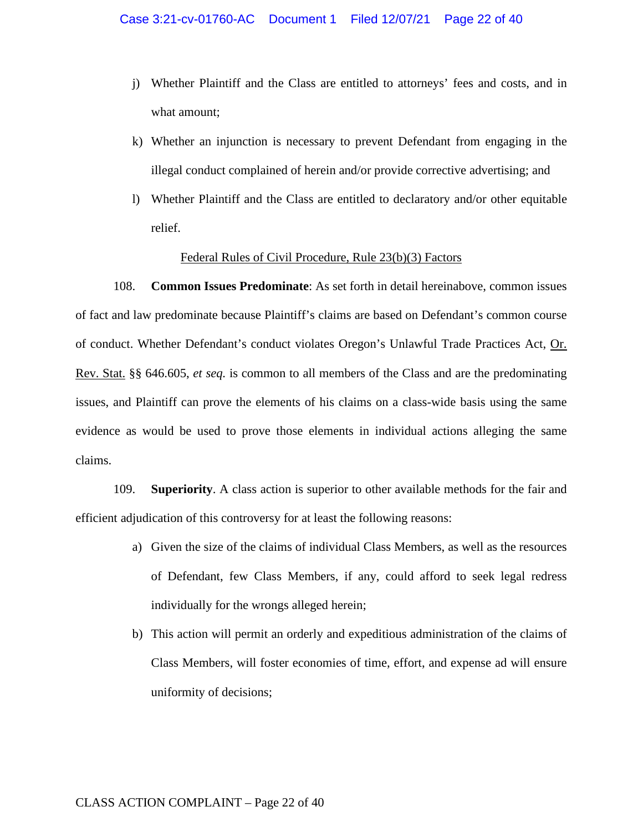- j) Whether Plaintiff and the Class are entitled to attorneys' fees and costs, and in what amount;
- k) Whether an injunction is necessary to prevent Defendant from engaging in the illegal conduct complained of herein and/or provide corrective advertising; and
- l) Whether Plaintiff and the Class are entitled to declaratory and/or other equitable relief.

## Federal Rules of Civil Procedure, Rule 23(b)(3) Factors

108. **Common Issues Predominate**: As set forth in detail hereinabove, common issues of fact and law predominate because Plaintiff's claims are based on Defendant's common course of conduct. Whether Defendant's conduct violates Oregon's Unlawful Trade Practices Act, Or. Rev. Stat. §§ 646.605, *et seq.* is common to all members of the Class and are the predominating issues, and Plaintiff can prove the elements of his claims on a class-wide basis using the same evidence as would be used to prove those elements in individual actions alleging the same claims.

109. **Superiority**. A class action is superior to other available methods for the fair and efficient adjudication of this controversy for at least the following reasons:

- a) Given the size of the claims of individual Class Members, as well as the resources of Defendant, few Class Members, if any, could afford to seek legal redress individually for the wrongs alleged herein;
- b) This action will permit an orderly and expeditious administration of the claims of Class Members, will foster economies of time, effort, and expense ad will ensure uniformity of decisions;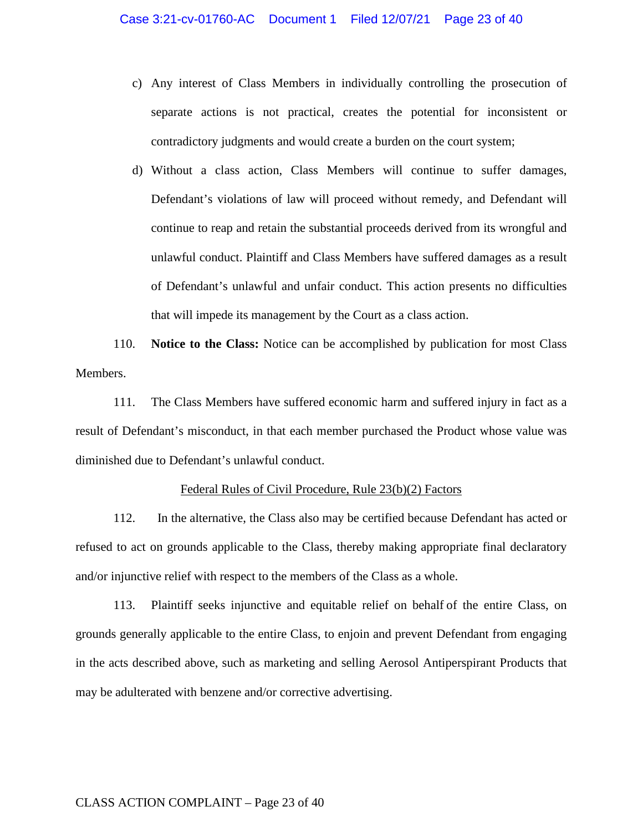- c) Any interest of Class Members in individually controlling the prosecution of separate actions is not practical, creates the potential for inconsistent or contradictory judgments and would create a burden on the court system;
- d) Without a class action, Class Members will continue to suffer damages, Defendant's violations of law will proceed without remedy, and Defendant will continue to reap and retain the substantial proceeds derived from its wrongful and unlawful conduct. Plaintiff and Class Members have suffered damages as a result of Defendant's unlawful and unfair conduct. This action presents no difficulties that will impede its management by the Court as a class action.

110. **Notice to the Class:** Notice can be accomplished by publication for most Class Members.

111. The Class Members have suffered economic harm and suffered injury in fact as a result of Defendant's misconduct, in that each member purchased the Product whose value was diminished due to Defendant's unlawful conduct.

## Federal Rules of Civil Procedure, Rule 23(b)(2) Factors

112. In the alternative, the Class also may be certified because Defendant has acted or refused to act on grounds applicable to the Class, thereby making appropriate final declaratory and/or injunctive relief with respect to the members of the Class as a whole.

113. Plaintiff seeks injunctive and equitable relief on behalf of the entire Class, on grounds generally applicable to the entire Class, to enjoin and prevent Defendant from engaging in the acts described above, such as marketing and selling Aerosol Antiperspirant Products that may be adulterated with benzene and/or corrective advertising.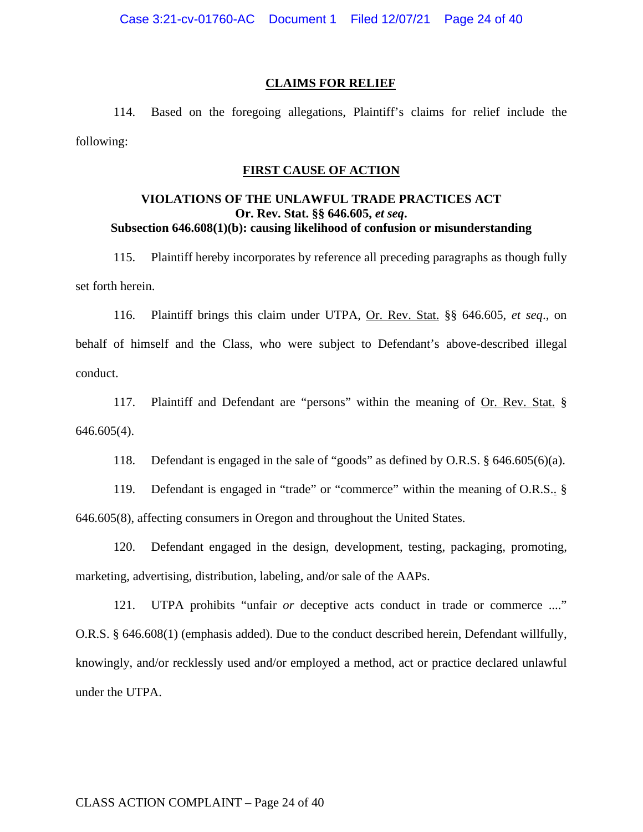#### **CLAIMS FOR RELIEF**

114. Based on the foregoing allegations, Plaintiff's claims for relief include the following:

### **FIRST CAUSE OF ACTION**

## **VIOLATIONS OF THE UNLAWFUL TRADE PRACTICES ACT Or. Rev. Stat. §§ 646.605,** *et seq***. Subsection 646.608(1)(b): causing likelihood of confusion or misunderstanding**

115. Plaintiff hereby incorporates by reference all preceding paragraphs as though fully set forth herein.

116. Plaintiff brings this claim under UTPA, Or. Rev. Stat. §§ 646.605, *et seq*., on behalf of himself and the Class, who were subject to Defendant's above-described illegal conduct.

117. Plaintiff and Defendant are "persons" within the meaning of Or. Rev. Stat. § 646.605(4).

118. Defendant is engaged in the sale of "goods" as defined by O.R.S. § 646.605(6)(a).

119. Defendant is engaged in "trade" or "commerce" within the meaning of O.R.S.. § 646.605(8), affecting consumers in Oregon and throughout the United States.

120. Defendant engaged in the design, development, testing, packaging, promoting, marketing, advertising, distribution, labeling, and/or sale of the AAPs.

121. UTPA prohibits "unfair *or* deceptive acts conduct in trade or commerce ...." O.R.S. § 646.608(1) (emphasis added). Due to the conduct described herein, Defendant willfully, knowingly, and/or recklessly used and/or employed a method, act or practice declared unlawful under the UTPA.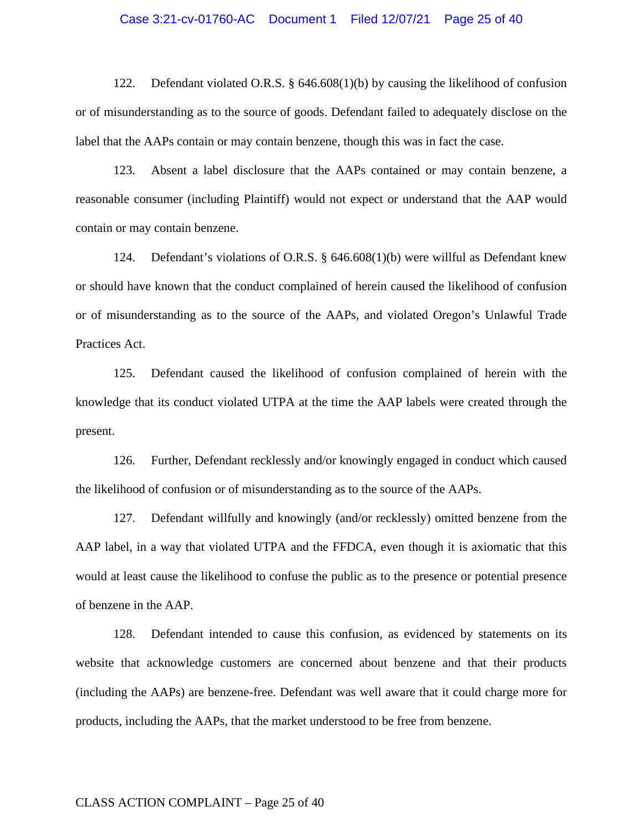## Case 3:21-cv-01760-AC Document 1 Filed 12/07/21 Page 25 of 40

122. Defendant violated O.R.S. § 646.608(1)(b) by causing the likelihood of confusion or of misunderstanding as to the source of goods. Defendant failed to adequately disclose on the label that the AAPs contain or may contain benzene, though this was in fact the case.

123. Absent a label disclosure that the AAPs contained or may contain benzene, a reasonable consumer (including Plaintiff) would not expect or understand that the AAP would contain or may contain benzene.

124. Defendant's violations of O.R.S. § 646.608(1)(b) were willful as Defendant knew or should have known that the conduct complained of herein caused the likelihood of confusion or of misunderstanding as to the source of the AAPs, and violated Oregon's Unlawful Trade Practices Act.

125. Defendant caused the likelihood of confusion complained of herein with the knowledge that its conduct violated UTPA at the time the AAP labels were created through the present.

126. Further, Defendant recklessly and/or knowingly engaged in conduct which caused the likelihood of confusion or of misunderstanding as to the source of the AAPs.

127. Defendant willfully and knowingly (and/or recklessly) omitted benzene from the AAP label, in a way that violated UTPA and the FFDCA, even though it is axiomatic that this would at least cause the likelihood to confuse the public as to the presence or potential presence of benzene in the AAP.

128. Defendant intended to cause this confusion, as evidenced by statements on its website that acknowledge customers are concerned about benzene and that their products (including the AAPs) are benzene-free. Defendant was well aware that it could charge more for products, including the AAPs, that the market understood to be free from benzene.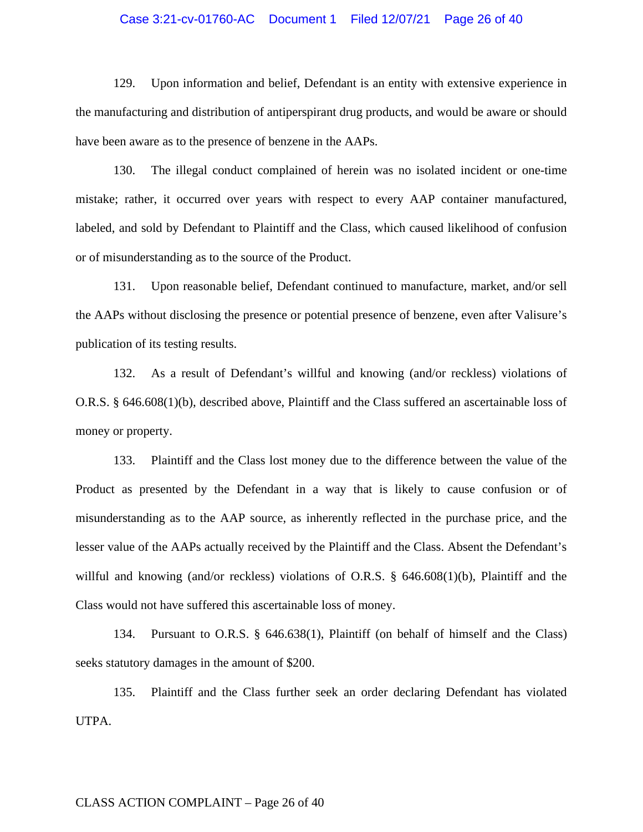## Case 3:21-cv-01760-AC Document 1 Filed 12/07/21 Page 26 of 40

129. Upon information and belief, Defendant is an entity with extensive experience in the manufacturing and distribution of antiperspirant drug products, and would be aware or should have been aware as to the presence of benzene in the AAPs.

130. The illegal conduct complained of herein was no isolated incident or one-time mistake; rather, it occurred over years with respect to every AAP container manufactured, labeled, and sold by Defendant to Plaintiff and the Class, which caused likelihood of confusion or of misunderstanding as to the source of the Product.

131. Upon reasonable belief, Defendant continued to manufacture, market, and/or sell the AAPs without disclosing the presence or potential presence of benzene, even after Valisure's publication of its testing results.

132. As a result of Defendant's willful and knowing (and/or reckless) violations of O.R.S. § 646.608(1)(b), described above, Plaintiff and the Class suffered an ascertainable loss of money or property.

133. Plaintiff and the Class lost money due to the difference between the value of the Product as presented by the Defendant in a way that is likely to cause confusion or of misunderstanding as to the AAP source, as inherently reflected in the purchase price, and the lesser value of the AAPs actually received by the Plaintiff and the Class. Absent the Defendant's willful and knowing (and/or reckless) violations of O.R.S. § 646.608(1)(b), Plaintiff and the Class would not have suffered this ascertainable loss of money.

134. Pursuant to O.R.S. § 646.638(1), Plaintiff (on behalf of himself and the Class) seeks statutory damages in the amount of \$200.

135. Plaintiff and the Class further seek an order declaring Defendant has violated UTPA.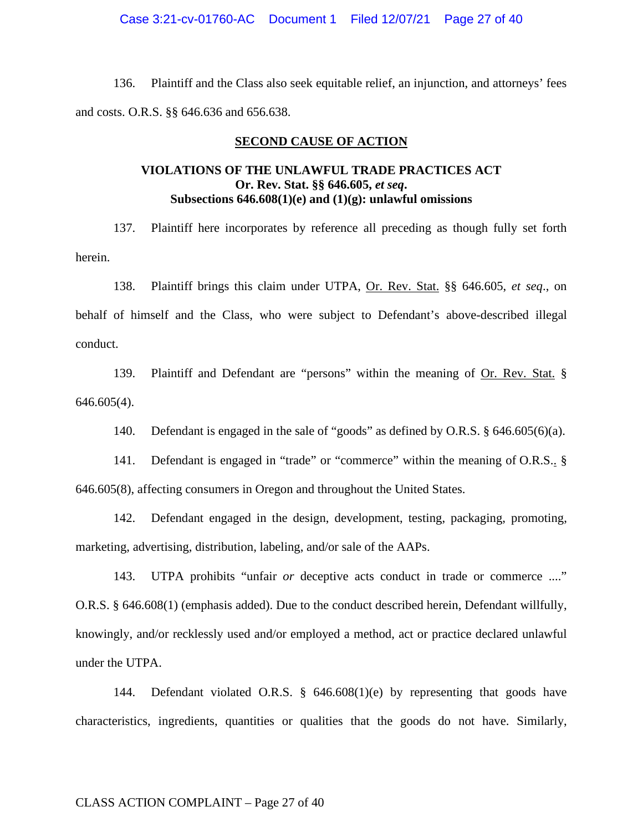### Case 3:21-cv-01760-AC Document 1 Filed 12/07/21 Page 27 of 40

136. Plaintiff and the Class also seek equitable relief, an injunction, and attorneys' fees and costs. O.R.S. §§ 646.636 and 656.638.

#### **SECOND CAUSE OF ACTION**

# **VIOLATIONS OF THE UNLAWFUL TRADE PRACTICES ACT Or. Rev. Stat. §§ 646.605,** *et seq***. Subsections 646.608(1)(e) and (1)(g): unlawful omissions**

137. Plaintiff here incorporates by reference all preceding as though fully set forth herein.

138. Plaintiff brings this claim under UTPA, Or. Rev. Stat. §§ 646.605, *et seq*., on behalf of himself and the Class, who were subject to Defendant's above-described illegal conduct.

139. Plaintiff and Defendant are "persons" within the meaning of Or. Rev. Stat. § 646.605(4).

140. Defendant is engaged in the sale of "goods" as defined by O.R.S. § 646.605(6)(a).

141. Defendant is engaged in "trade" or "commerce" within the meaning of O.R.S.. § 646.605(8), affecting consumers in Oregon and throughout the United States.

142. Defendant engaged in the design, development, testing, packaging, promoting, marketing, advertising, distribution, labeling, and/or sale of the AAPs.

143. UTPA prohibits "unfair *or* deceptive acts conduct in trade or commerce ...." O.R.S. § 646.608(1) (emphasis added). Due to the conduct described herein, Defendant willfully, knowingly, and/or recklessly used and/or employed a method, act or practice declared unlawful under the UTPA.

144. Defendant violated O.R.S. § 646.608(1)(e) by representing that goods have characteristics, ingredients, quantities or qualities that the goods do not have. Similarly,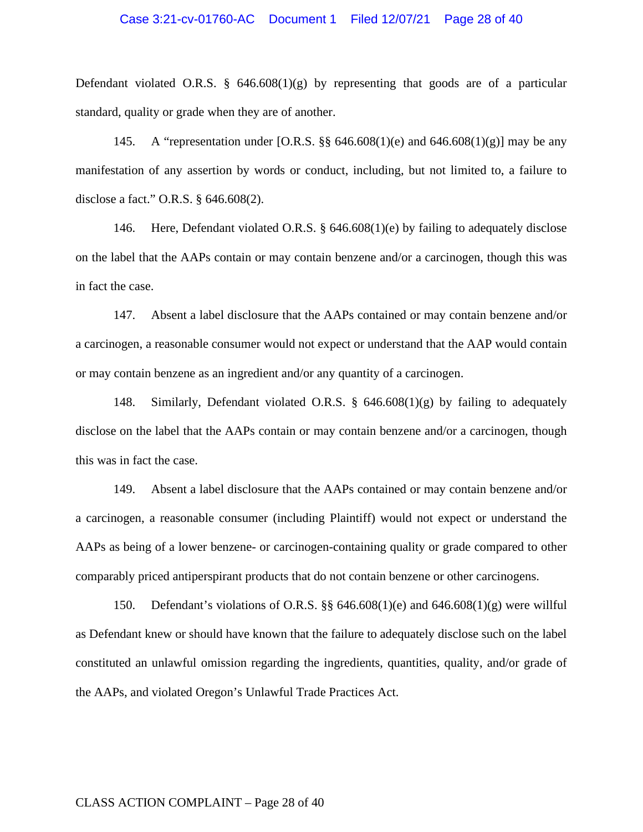### Case 3:21-cv-01760-AC Document 1 Filed 12/07/21 Page 28 of 40

Defendant violated O.R.S.  $\S$  646.608(1)(g) by representing that goods are of a particular standard, quality or grade when they are of another.

145. A "representation under [O.R.S. §§ 646.608(1)(e) and 646.608(1)(g)] may be any manifestation of any assertion by words or conduct, including, but not limited to, a failure to disclose a fact." O.R.S. § 646.608(2).

146. Here, Defendant violated O.R.S. § 646.608(1)(e) by failing to adequately disclose on the label that the AAPs contain or may contain benzene and/or a carcinogen, though this was in fact the case.

147. Absent a label disclosure that the AAPs contained or may contain benzene and/or a carcinogen, a reasonable consumer would not expect or understand that the AAP would contain or may contain benzene as an ingredient and/or any quantity of a carcinogen.

148. Similarly, Defendant violated O.R.S. § 646.608(1)(g) by failing to adequately disclose on the label that the AAPs contain or may contain benzene and/or a carcinogen, though this was in fact the case.

149. Absent a label disclosure that the AAPs contained or may contain benzene and/or a carcinogen, a reasonable consumer (including Plaintiff) would not expect or understand the AAPs as being of a lower benzene- or carcinogen-containing quality or grade compared to other comparably priced antiperspirant products that do not contain benzene or other carcinogens.

150. Defendant's violations of O.R.S. §§ 646.608(1)(e) and 646.608(1)(g) were willful as Defendant knew or should have known that the failure to adequately disclose such on the label constituted an unlawful omission regarding the ingredients, quantities, quality, and/or grade of the AAPs, and violated Oregon's Unlawful Trade Practices Act.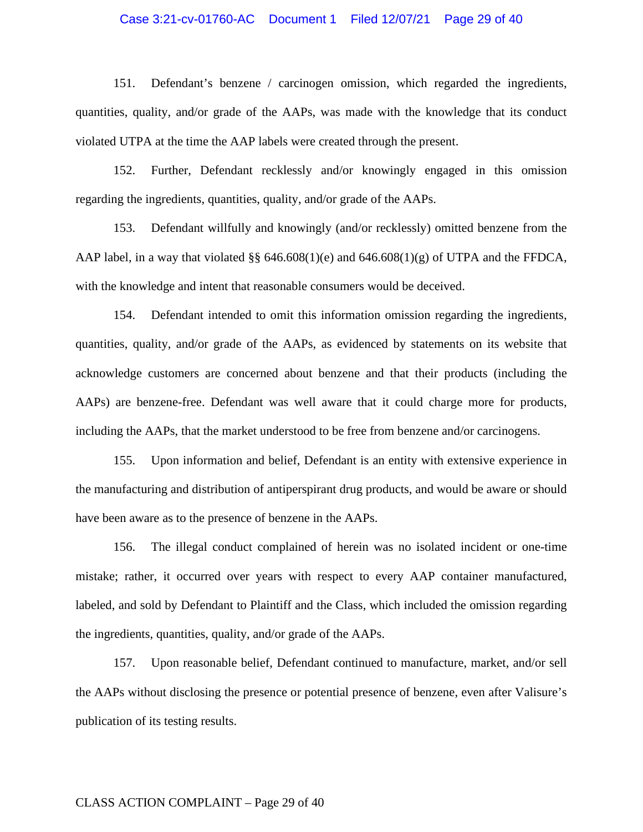## Case 3:21-cv-01760-AC Document 1 Filed 12/07/21 Page 29 of 40

151. Defendant's benzene / carcinogen omission, which regarded the ingredients, quantities, quality, and/or grade of the AAPs, was made with the knowledge that its conduct violated UTPA at the time the AAP labels were created through the present.

152. Further, Defendant recklessly and/or knowingly engaged in this omission regarding the ingredients, quantities, quality, and/or grade of the AAPs.

153. Defendant willfully and knowingly (and/or recklessly) omitted benzene from the AAP label, in a way that violated §§ 646.608(1)(e) and 646.608(1)(g) of UTPA and the FFDCA, with the knowledge and intent that reasonable consumers would be deceived.

154. Defendant intended to omit this information omission regarding the ingredients, quantities, quality, and/or grade of the AAPs, as evidenced by statements on its website that acknowledge customers are concerned about benzene and that their products (including the AAPs) are benzene-free. Defendant was well aware that it could charge more for products, including the AAPs, that the market understood to be free from benzene and/or carcinogens.

155. Upon information and belief, Defendant is an entity with extensive experience in the manufacturing and distribution of antiperspirant drug products, and would be aware or should have been aware as to the presence of benzene in the AAPs.

156. The illegal conduct complained of herein was no isolated incident or one-time mistake; rather, it occurred over years with respect to every AAP container manufactured, labeled, and sold by Defendant to Plaintiff and the Class, which included the omission regarding the ingredients, quantities, quality, and/or grade of the AAPs.

157. Upon reasonable belief, Defendant continued to manufacture, market, and/or sell the AAPs without disclosing the presence or potential presence of benzene, even after Valisure's publication of its testing results.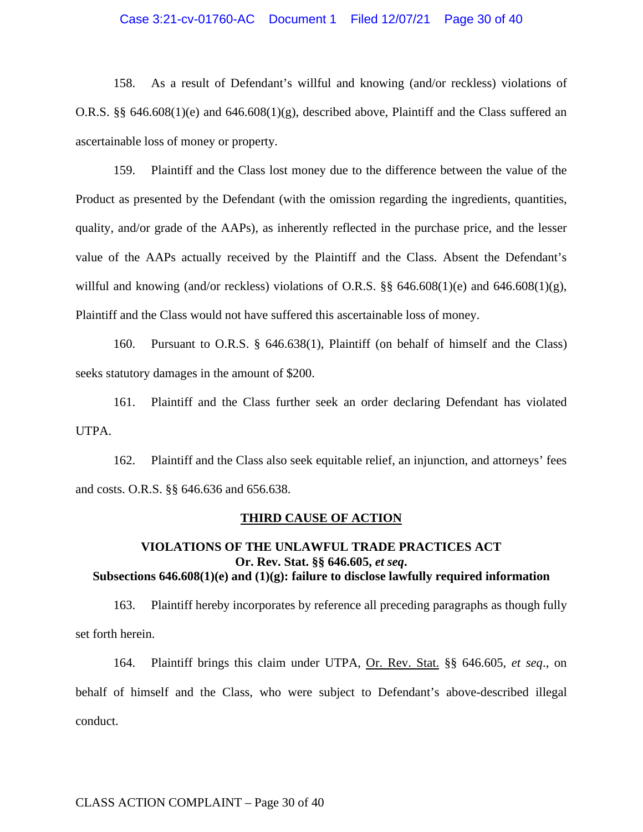## Case 3:21-cv-01760-AC Document 1 Filed 12/07/21 Page 30 of 40

158. As a result of Defendant's willful and knowing (and/or reckless) violations of O.R.S. §§ 646.608(1)(e) and 646.608(1)(g), described above, Plaintiff and the Class suffered an ascertainable loss of money or property.

159. Plaintiff and the Class lost money due to the difference between the value of the Product as presented by the Defendant (with the omission regarding the ingredients, quantities, quality, and/or grade of the AAPs), as inherently reflected in the purchase price, and the lesser value of the AAPs actually received by the Plaintiff and the Class. Absent the Defendant's willful and knowing (and/or reckless) violations of O.R.S.  $\S$  646.608(1)(e) and 646.608(1)(g), Plaintiff and the Class would not have suffered this ascertainable loss of money.

160. Pursuant to O.R.S. § 646.638(1), Plaintiff (on behalf of himself and the Class) seeks statutory damages in the amount of \$200.

161. Plaintiff and the Class further seek an order declaring Defendant has violated UTPA.

162. Plaintiff and the Class also seek equitable relief, an injunction, and attorneys' fees and costs. O.R.S. §§ 646.636 and 656.638.

#### **THIRD CAUSE OF ACTION**

## **VIOLATIONS OF THE UNLAWFUL TRADE PRACTICES ACT Or. Rev. Stat. §§ 646.605,** *et seq***. Subsections 646.608(1)(e) and (1)(g): failure to disclose lawfully required information**

163. Plaintiff hereby incorporates by reference all preceding paragraphs as though fully set forth herein.

164. Plaintiff brings this claim under UTPA, Or. Rev. Stat. §§ 646.605, *et seq*., on behalf of himself and the Class, who were subject to Defendant's above-described illegal conduct.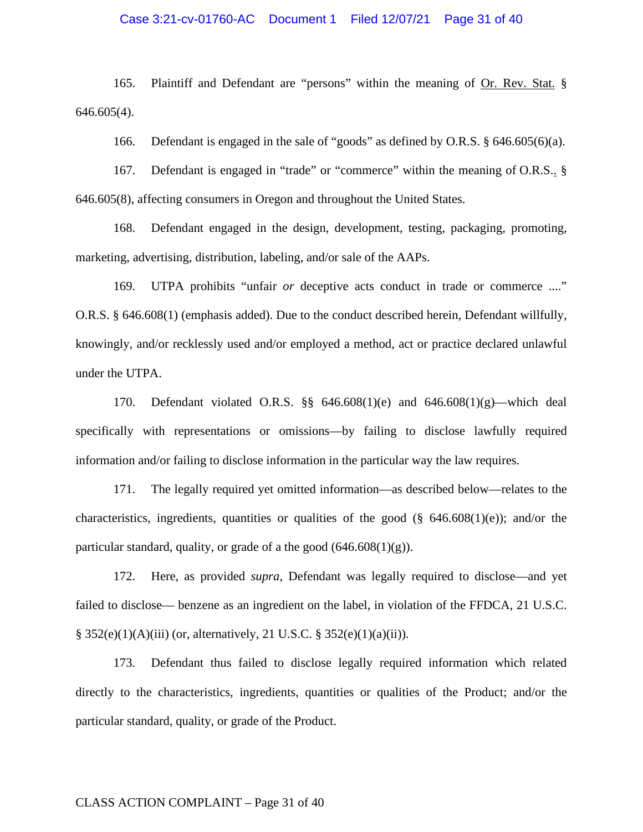## Case 3:21-cv-01760-AC Document 1 Filed 12/07/21 Page 31 of 40

165. Plaintiff and Defendant are "persons" within the meaning of Or. Rev. Stat. § 646.605(4).

166. Defendant is engaged in the sale of "goods" as defined by O.R.S. § 646.605(6)(a).

167. Defendant is engaged in "trade" or "commerce" within the meaning of O.R.S.. § 646.605(8), affecting consumers in Oregon and throughout the United States.

168. Defendant engaged in the design, development, testing, packaging, promoting, marketing, advertising, distribution, labeling, and/or sale of the AAPs.

169. UTPA prohibits "unfair *or* deceptive acts conduct in trade or commerce ...." O.R.S. § 646.608(1) (emphasis added). Due to the conduct described herein, Defendant willfully, knowingly, and/or recklessly used and/or employed a method, act or practice declared unlawful under the UTPA.

170. Defendant violated O.R.S. §§ 646.608(1)(e) and 646.608(1)(g)—which deal specifically with representations or omissions—by failing to disclose lawfully required information and/or failing to disclose information in the particular way the law requires.

171. The legally required yet omitted information—as described below—relates to the characteristics, ingredients, quantities or qualities of the good  $(\S$  646.608(1)(e)); and/or the particular standard, quality, or grade of a the good  $(646.608(1)(g))$ .

172. Here, as provided *supra*, Defendant was legally required to disclose—and yet failed to disclose— benzene as an ingredient on the label, in violation of the FFDCA, 21 U.S.C. § 352(e)(1)(A)(iii) (or, alternatively, 21 U.S.C. § 352(e)(1)(a)(ii)).

173. Defendant thus failed to disclose legally required information which related directly to the characteristics, ingredients, quantities or qualities of the Product; and/or the particular standard, quality, or grade of the Product.

## CLASS ACTION COMPLAINT – Page 31 of 40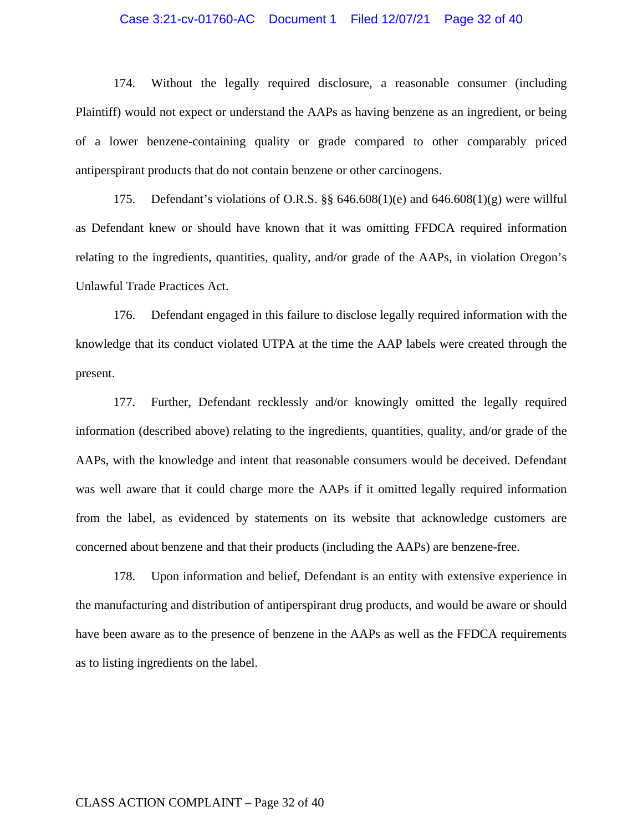## Case 3:21-cv-01760-AC Document 1 Filed 12/07/21 Page 32 of 40

174. Without the legally required disclosure, a reasonable consumer (including Plaintiff) would not expect or understand the AAPs as having benzene as an ingredient, or being of a lower benzene-containing quality or grade compared to other comparably priced antiperspirant products that do not contain benzene or other carcinogens.

175. Defendant's violations of O.R.S. §§ 646.608(1)(e) and 646.608(1)(g) were willful as Defendant knew or should have known that it was omitting FFDCA required information relating to the ingredients, quantities, quality, and/or grade of the AAPs, in violation Oregon's Unlawful Trade Practices Act.

176. Defendant engaged in this failure to disclose legally required information with the knowledge that its conduct violated UTPA at the time the AAP labels were created through the present.

177. Further, Defendant recklessly and/or knowingly omitted the legally required information (described above) relating to the ingredients, quantities, quality, and/or grade of the AAPs, with the knowledge and intent that reasonable consumers would be deceived. Defendant was well aware that it could charge more the AAPs if it omitted legally required information from the label, as evidenced by statements on its website that acknowledge customers are concerned about benzene and that their products (including the AAPs) are benzene-free.

178. Upon information and belief, Defendant is an entity with extensive experience in the manufacturing and distribution of antiperspirant drug products, and would be aware or should have been aware as to the presence of benzene in the AAPs as well as the FFDCA requirements as to listing ingredients on the label.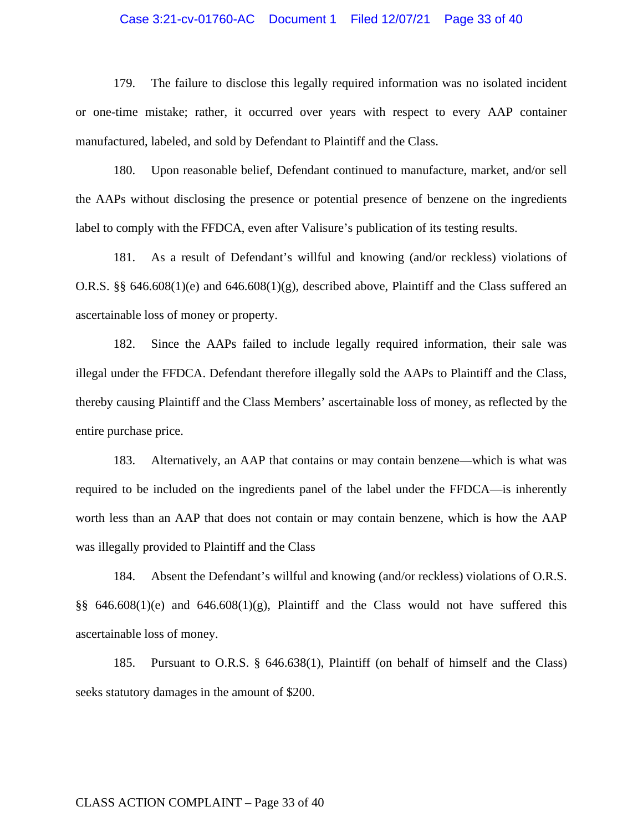#### Case 3:21-cv-01760-AC Document 1 Filed 12/07/21 Page 33 of 40

179. The failure to disclose this legally required information was no isolated incident or one-time mistake; rather, it occurred over years with respect to every AAP container manufactured, labeled, and sold by Defendant to Plaintiff and the Class.

180. Upon reasonable belief, Defendant continued to manufacture, market, and/or sell the AAPs without disclosing the presence or potential presence of benzene on the ingredients label to comply with the FFDCA, even after Valisure's publication of its testing results.

181. As a result of Defendant's willful and knowing (and/or reckless) violations of O.R.S. §§ 646.608(1)(e) and 646.608(1)(g), described above, Plaintiff and the Class suffered an ascertainable loss of money or property.

182. Since the AAPs failed to include legally required information, their sale was illegal under the FFDCA. Defendant therefore illegally sold the AAPs to Plaintiff and the Class, thereby causing Plaintiff and the Class Members' ascertainable loss of money, as reflected by the entire purchase price.

183. Alternatively, an AAP that contains or may contain benzene—which is what was required to be included on the ingredients panel of the label under the FFDCA—is inherently worth less than an AAP that does not contain or may contain benzene, which is how the AAP was illegally provided to Plaintiff and the Class

184. Absent the Defendant's willful and knowing (and/or reckless) violations of O.R.S. §§  $646.608(1)(e)$  and  $646.608(1)(g)$ , Plaintiff and the Class would not have suffered this ascertainable loss of money.

185. Pursuant to O.R.S. § 646.638(1), Plaintiff (on behalf of himself and the Class) seeks statutory damages in the amount of \$200.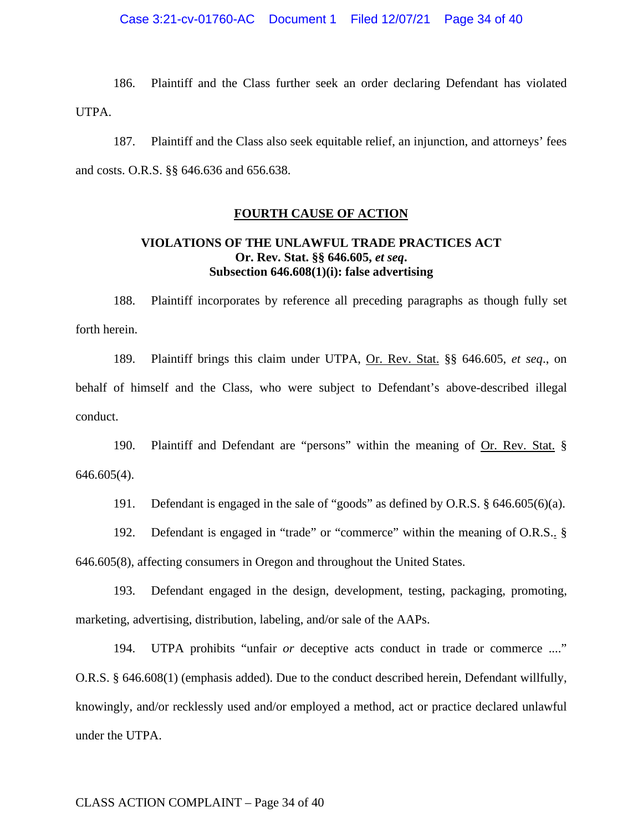186. Plaintiff and the Class further seek an order declaring Defendant has violated UTPA.

187. Plaintiff and the Class also seek equitable relief, an injunction, and attorneys' fees and costs. O.R.S. §§ 646.636 and 656.638.

## **FOURTH CAUSE OF ACTION**

# **VIOLATIONS OF THE UNLAWFUL TRADE PRACTICES ACT Or. Rev. Stat. §§ 646.605,** *et seq***. Subsection 646.608(1)(i): false advertising**

188. Plaintiff incorporates by reference all preceding paragraphs as though fully set forth herein.

189. Plaintiff brings this claim under UTPA, Or. Rev. Stat. §§ 646.605, *et seq*., on behalf of himself and the Class, who were subject to Defendant's above-described illegal conduct.

190. Plaintiff and Defendant are "persons" within the meaning of Or. Rev. Stat. § 646.605(4).

191. Defendant is engaged in the sale of "goods" as defined by O.R.S. § 646.605(6)(a).

192. Defendant is engaged in "trade" or "commerce" within the meaning of O.R.S.. § 646.605(8), affecting consumers in Oregon and throughout the United States.

193. Defendant engaged in the design, development, testing, packaging, promoting, marketing, advertising, distribution, labeling, and/or sale of the AAPs.

194. UTPA prohibits "unfair *or* deceptive acts conduct in trade or commerce ...." O.R.S. § 646.608(1) (emphasis added). Due to the conduct described herein, Defendant willfully, knowingly, and/or recklessly used and/or employed a method, act or practice declared unlawful under the UTPA.

## CLASS ACTION COMPLAINT – Page 34 of 40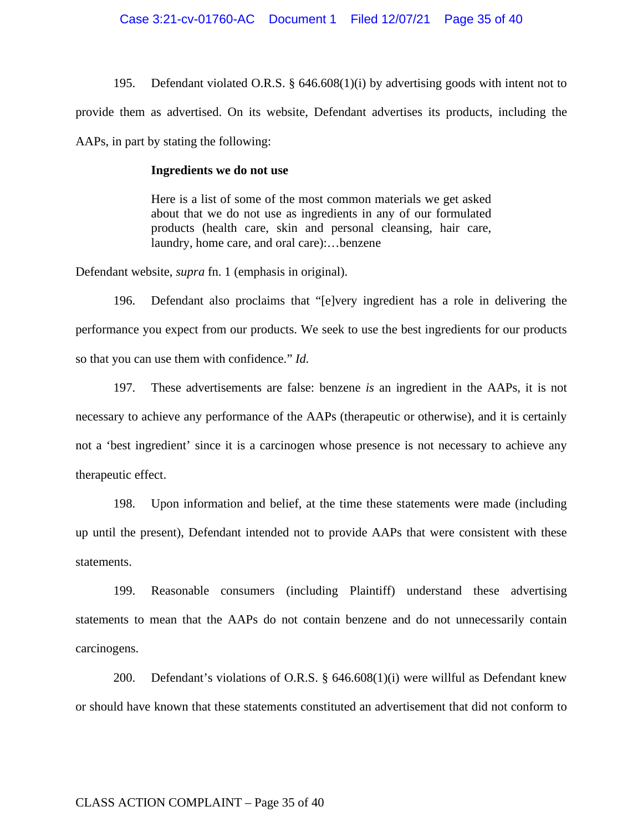195. Defendant violated O.R.S. § 646.608(1)(i) by advertising goods with intent not to provide them as advertised. On its website, Defendant advertises its products, including the AAPs, in part by stating the following:

## **Ingredients we do not use**

Here is a list of some of the most common materials we get asked about that we do not use as ingredients in any of our formulated products (health care, skin and personal cleansing, hair care, laundry, home care, and oral care):…benzene

Defendant website, *supra* fn. 1 (emphasis in original).

196. Defendant also proclaims that "[e]very ingredient has a role in delivering the performance you expect from our products. We seek to use the best ingredients for our products so that you can use them with confidence." *Id.*

197. These advertisements are false: benzene *is* an ingredient in the AAPs, it is not necessary to achieve any performance of the AAPs (therapeutic or otherwise), and it is certainly not a 'best ingredient' since it is a carcinogen whose presence is not necessary to achieve any therapeutic effect.

198. Upon information and belief, at the time these statements were made (including up until the present), Defendant intended not to provide AAPs that were consistent with these statements.

199. Reasonable consumers (including Plaintiff) understand these advertising statements to mean that the AAPs do not contain benzene and do not unnecessarily contain carcinogens.

200. Defendant's violations of O.R.S. § 646.608(1)(i) were willful as Defendant knew or should have known that these statements constituted an advertisement that did not conform to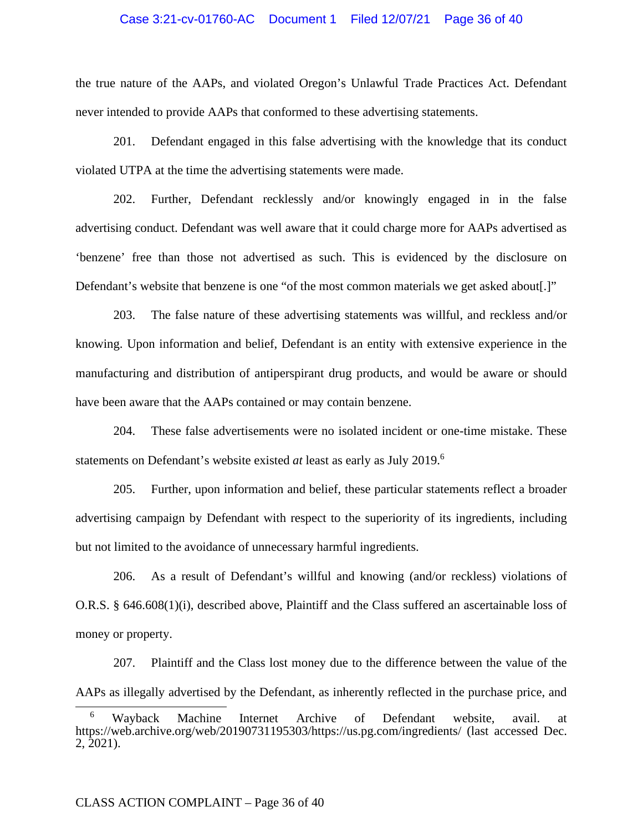## Case 3:21-cv-01760-AC Document 1 Filed 12/07/21 Page 36 of 40

the true nature of the AAPs, and violated Oregon's Unlawful Trade Practices Act. Defendant never intended to provide AAPs that conformed to these advertising statements.

201. Defendant engaged in this false advertising with the knowledge that its conduct violated UTPA at the time the advertising statements were made.

202. Further, Defendant recklessly and/or knowingly engaged in in the false advertising conduct. Defendant was well aware that it could charge more for AAPs advertised as 'benzene' free than those not advertised as such. This is evidenced by the disclosure on Defendant's website that benzene is one "of the most common materials we get asked about[.]"

203. The false nature of these advertising statements was willful, and reckless and/or knowing. Upon information and belief, Defendant is an entity with extensive experience in the manufacturing and distribution of antiperspirant drug products, and would be aware or should have been aware that the AAPs contained or may contain benzene.

204. These false advertisements were no isolated incident or one-time mistake. These statements on Defendant's website existed *at* least as early as July 2019.<sup>6</sup>

205. Further, upon information and belief, these particular statements reflect a broader advertising campaign by Defendant with respect to the superiority of its ingredients, including but not limited to the avoidance of unnecessary harmful ingredients.

206. As a result of Defendant's willful and knowing (and/or reckless) violations of O.R.S. § 646.608(1)(i), described above, Plaintiff and the Class suffered an ascertainable loss of money or property.

207. Plaintiff and the Class lost money due to the difference between the value of the AAPs as illegally advertised by the Defendant, as inherently reflected in the purchase price, and

<sup>6</sup> Wayback Machine Internet Archive of Defendant website, avail. at https://web.archive.org/web/20190731195303/https://us.pg.com/ingredients/ (last accessed Dec. 2, 2021).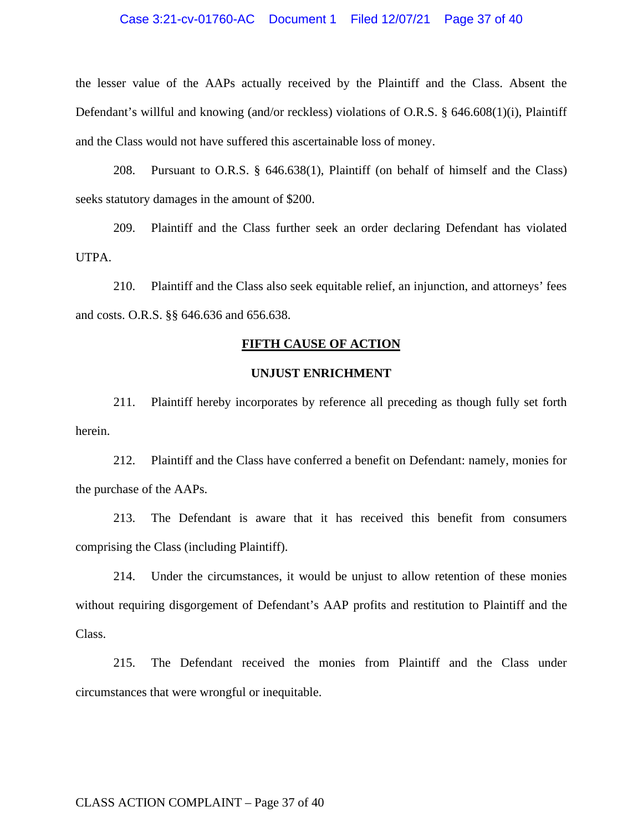# Case 3:21-cv-01760-AC Document 1 Filed 12/07/21 Page 37 of 40

the lesser value of the AAPs actually received by the Plaintiff and the Class. Absent the Defendant's willful and knowing (and/or reckless) violations of O.R.S. § 646.608(1)(i), Plaintiff and the Class would not have suffered this ascertainable loss of money.

208. Pursuant to O.R.S. § 646.638(1), Plaintiff (on behalf of himself and the Class) seeks statutory damages in the amount of \$200.

209. Plaintiff and the Class further seek an order declaring Defendant has violated UTPA.

210. Plaintiff and the Class also seek equitable relief, an injunction, and attorneys' fees and costs. O.R.S. §§ 646.636 and 656.638.

### **FIFTH CAUSE OF ACTION**

## **UNJUST ENRICHMENT**

211. Plaintiff hereby incorporates by reference all preceding as though fully set forth herein.

212. Plaintiff and the Class have conferred a benefit on Defendant: namely, monies for the purchase of the AAPs.

213. The Defendant is aware that it has received this benefit from consumers comprising the Class (including Plaintiff).

214. Under the circumstances, it would be unjust to allow retention of these monies without requiring disgorgement of Defendant's AAP profits and restitution to Plaintiff and the Class.

215. The Defendant received the monies from Plaintiff and the Class under circumstances that were wrongful or inequitable.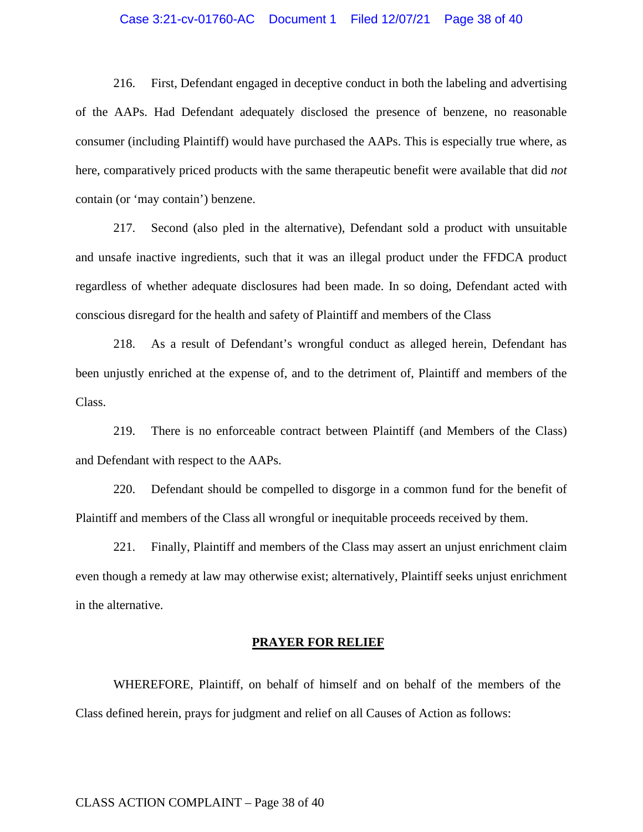## Case 3:21-cv-01760-AC Document 1 Filed 12/07/21 Page 38 of 40

216. First, Defendant engaged in deceptive conduct in both the labeling and advertising of the AAPs. Had Defendant adequately disclosed the presence of benzene, no reasonable consumer (including Plaintiff) would have purchased the AAPs. This is especially true where, as here, comparatively priced products with the same therapeutic benefit were available that did *not*  contain (or 'may contain') benzene.

217. Second (also pled in the alternative), Defendant sold a product with unsuitable and unsafe inactive ingredients, such that it was an illegal product under the FFDCA product regardless of whether adequate disclosures had been made. In so doing, Defendant acted with conscious disregard for the health and safety of Plaintiff and members of the Class

218. As a result of Defendant's wrongful conduct as alleged herein, Defendant has been unjustly enriched at the expense of, and to the detriment of, Plaintiff and members of the Class.

219. There is no enforceable contract between Plaintiff (and Members of the Class) and Defendant with respect to the AAPs.

220. Defendant should be compelled to disgorge in a common fund for the benefit of Plaintiff and members of the Class all wrongful or inequitable proceeds received by them.

221. Finally, Plaintiff and members of the Class may assert an unjust enrichment claim even though a remedy at law may otherwise exist; alternatively, Plaintiff seeks unjust enrichment in the alternative.

## **PRAYER FOR RELIEF**

WHEREFORE, Plaintiff, on behalf of himself and on behalf of the members of the Class defined herein, prays for judgment and relief on all Causes of Action as follows: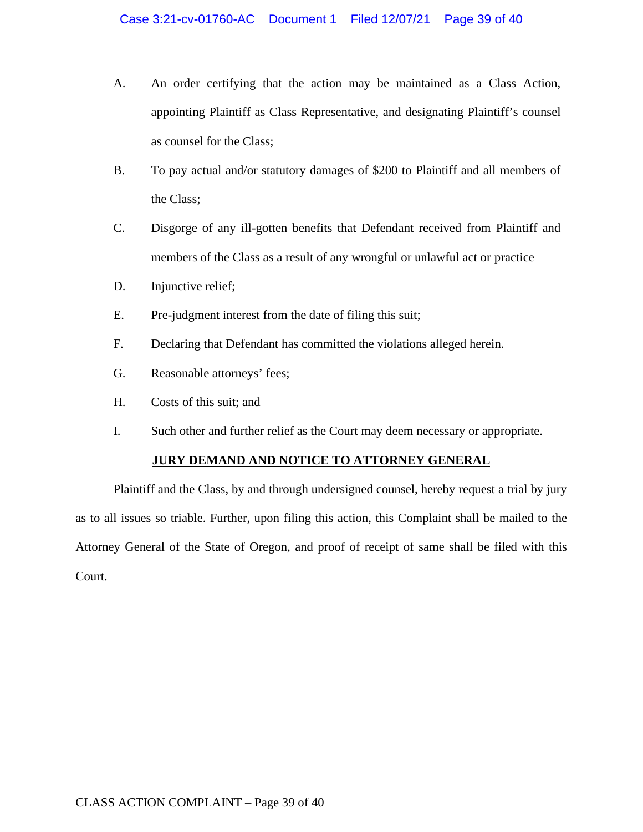- A. An order certifying that the action may be maintained as a Class Action, appointing Plaintiff as Class Representative, and designating Plaintiff's counsel as counsel for the Class;
- B. To pay actual and/or statutory damages of \$200 to Plaintiff and all members of the Class;
- C. Disgorge of any ill-gotten benefits that Defendant received from Plaintiff and members of the Class as a result of any wrongful or unlawful act or practice
- D. Injunctive relief;
- E. Pre-judgment interest from the date of filing this suit;
- F. Declaring that Defendant has committed the violations alleged herein.
- G. Reasonable attorneys' fees;
- H. Costs of this suit; and
- I. Such other and further relief as the Court may deem necessary or appropriate.

# **JURY DEMAND AND NOTICE TO ATTORNEY GENERAL**

Plaintiff and the Class, by and through undersigned counsel, hereby request a trial by jury as to all issues so triable. Further, upon filing this action, this Complaint shall be mailed to the Attorney General of the State of Oregon, and proof of receipt of same shall be filed with this Court.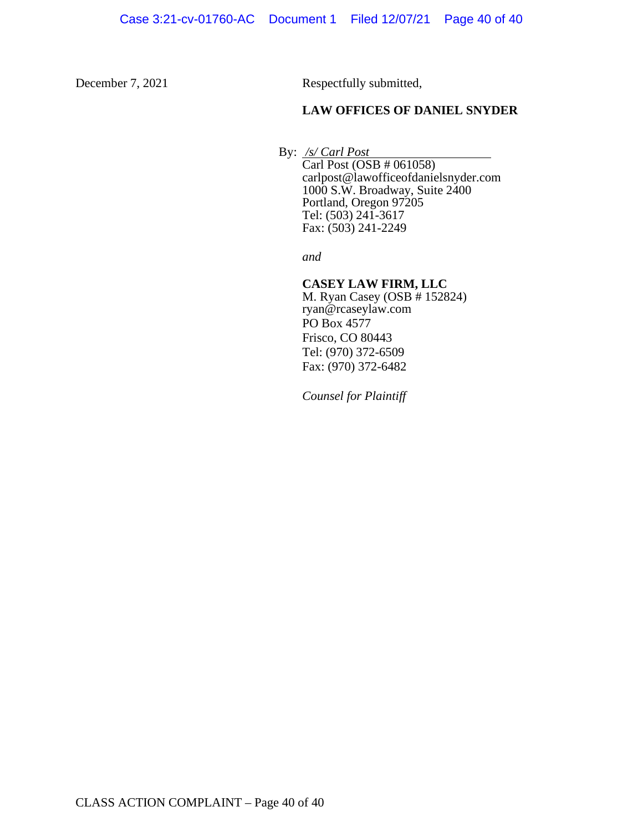December 7, 2021 Respectfully submitted,

## **LAW OFFICES OF DANIEL SNYDER**

By: */s/ Carl Post* 

Carl Post (OSB # 061058) carlpost@lawofficeofdanielsnyder.com 1000 S.W. Broadway, Suite 2400 Portland, Oregon 97205 Tel: (503) 241-3617 Fax:  $(503)$  241-2249

*and*

## **CASEY LAW FIRM, LLC**

M. Ryan Casey (OSB # 152824) ryan@rcaseylaw.com PO Box 4577 Frisco, CO 80443 Tel: (970) 372-6509 Fax: (970) 372-6482

*Counsel for Plaintiff*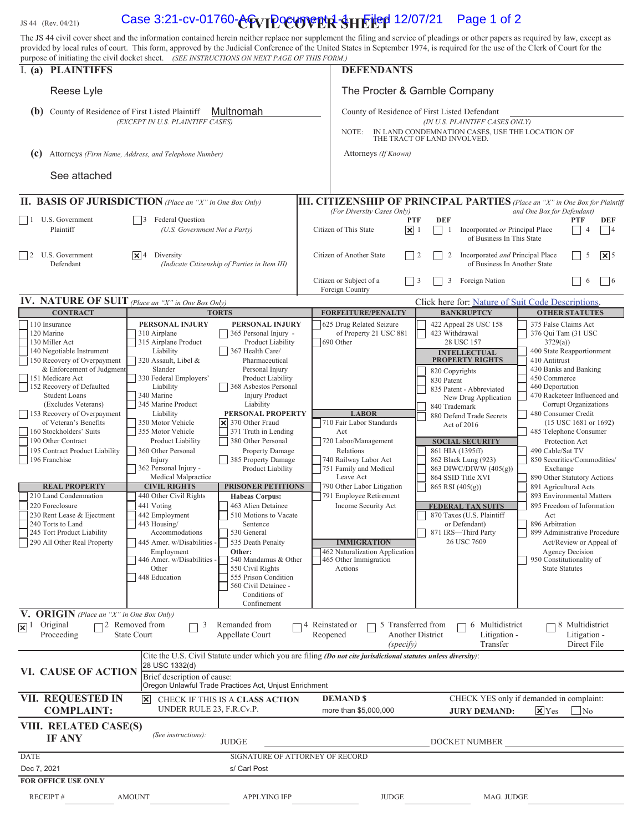1s 44 (Rev. 04/21) **Case 3:21-cv-01760-ACVIPOCUVER SHEILED 12/07/21** Page 1 of 2 The JS 44 civil cover sheet and the information contained herein neither replace nor supplement the filing and service of pleadings or other papers as required by law, except as provided by local rules of court. This form, approved by the Judicial Conference of the United States in September 1974, is required for the use of the Clerk of Court for the purpose of initiating the civil docket sheet. *(SEE INSTRUCTIONS ON NEXT PAGE OF THIS FORM.)* I. **(a) PLAINTIFFS DEFENDANTS** Reese Lyle The Procter & Gamble Company (b) County of Residence of First Listed Plaintiff Multnomah County of Residence of First Listed Defendant *(EXCEPT IN U.S. PLAINTIFF CASES) (IN U.S. PLAINTIFF CASES ONLY)* NOTE: IN LAND CONDEMNATION CASES, USE THE LOCATION OF THE TRACT OF LAND INVOLVED. **(c)** Attorneys *(Firm Name, Address, and Telephone Number)* Attorneys *(If Known)* See attached **III. CITIZENSHIP OF PRINCIPAL PARTIES** *(Place an "X" in One Box for Plaintiff (For Diversity Cases Only) and One Box for Defendant*) *and One Box for Defendant*) *(For Diversity Cases Only) and One Box for Defendant)*  1 U.S. Government **3** Federal Question **1 PTF DEF PTF DEF PTF DEF PTF DEF** Plaintiff *(U.S. Government Not a Party)* Citizen of This State  $\boxed{\mathbf{X}}$  1  $\boxed{\phantom{a}}$  1 Incorporated *or* Principal Place  $\boxed{\phantom{a}}$  4  $\boxed{\phantom{a}}$  4 of Business In This State 2 U.S. Government **X** 4 Diversity (*Indicate Citizenship of Parties in Item III*) Citizen of Another State **2** 2 Incorporated *and* Principal Place 5 **X** 5 *(Indicate Citizenship of Parties in Item III)* Citizen or Subject of a  $\Box$  3 Foreign Nation  $\Box$  6 6 6 Foreign Country **IV. NATURE OF SUIT** (Place an "X" in One Box Only) Click here for: Nature of Suit Code Descriptions **CONTRACT CONTRACT TORTS TORTS FORFEITURE/PENALTY BANKRUPTCY CONTRACT OTHER STATUTES** 110 Insurance **PERSONAL INJURY PERSONAL INJURY** 625 Drug Related Seizure 422 Appeal 28 USC 158 375 False Claims Act 120 Marine 1310 Airplane 310 Airplane 365 Personal Injury - of Property 21 USC 881 423 Withdrawal 376 Qui Tam (31 USC 376 Qui Tam (31 USC 376 Qui Tam (31 USC 376 Qui Tam (31 USC 315 Airplane Product Liability 1305 Product 130 Miller Act 31729(a) 315 Airplane Product  $\overline{\phantom{a}}$  Product Liability  $\overline{\phantom{a}}$  690 Other 28 USC 157 3729(a)) 3729(a) 140 Negotiable Instrument Liability 1367 Health Care/ **1200 State Reapportionment** 1400 State Reapportionment **INTELLECTUAL** 150 Recovery of Overpayment 320 Assault, Libel & Pharmaceutical **PROPERTY RIGHTS** 410 Antitrust 81 Antitrust Slander Personal Injury 820 Converted A 300 Banks and Banking & Enforcement of Judgment Slander Slander Personal Injury | 820 Copyrights | 430 Banks and Banking 151 Medicare Act 330 Federal Employers' Product Liability Product Liability 830 Patent 450 Commerce 151 Medicare Act 152 S30 Federal Employers' Product Liability<br>152 Recovery of Defaulted Liability Liability 368 Asbestos Personal 835 Patent - Abbreviated 460 Deportation<br>368 Asbestos Personal 152 Recovery of Defaulted 460 Student Loans 1340 Marine 1934 Marine 1934 Marine 1934 Marine 1934 Mustave 1947 Mexical Product 1947 New Drug Application 470 Racketeer Influenced and States 1940 Marine Product 1.1 Liability 1940 Marine 1940 Marine 1940 M (Excludes Veterans) 345 Marine Product Liability Liability 2018 1991 840 Trademark Corrupt Organizations 153 Recovery of Overpayment Liability **PERSONAL PROPERTY** LABOR<br>
of Veteran's Benefits 350 Motor Vehicle **X** 370 Other Fraud 710 Fair Labor Standards Act of 2016 (15 USC 1681 or 1692) of Veteran's Benefits 350 Motor Vehicle 370 Other Fraud 3710 Fair Labor Standards Act of 2016<br>160 Stockholders' Suits 355 Motor Vehicle 371 Truth in Lending Act 485 Telephone Consumer 190 Other Contract Product Liability 380 Other Personal 720 Labor/Management **SOCIAL SECURITY** Protection Act 195 Contract Product Liability 360 Other Personal Property Damage Relations Relations 1961 HIA (1395ff) 490 Cable/Sat TV<br>196 Franchise Injury 1985 Property Damage 140 Railway Labor Act 862 Black Lung (923) 850 Securities/C 196 Franchise Injury Injury 1858 Property Damage 740 Railway Labor Act 862 Black Lung (923) 850 Securities/Commodities/<br>362 Personal Injury Product Liability 751 Family and Medical 863 DIWC/DIWW (405(g) Exchange Personal Injury - Product Liability 751 Family and Medical 863 DIWC/DIWW (405(g)) Exchange<br>Medical Malpractice Leave Act 264 SSID Title XVI 890 Other State External Malpractice Leave Act **864 SSID Title XVI** 890 Other Statutory Actions<br> **PRISONER PETITIONS** 790 Other Labor Litigation 865 RSI (405(g)) 891 Agricultural Acts **REAL PROPERTY CIVIL RIGHTS PRISONER PETITIONS** 790 Other Labor Litigation 865 RSI (405(g)) 891 Agricultural Acts<br>210 Land Condemnation 440 Other Civil Rights Habeas Corpus: 791 Employee Retirement 893 Environmental M 210 Land Condemnation 440 Other Civil Rights **Habeas Corpus:** 791 Employee Retirement 220 Foreclosure 893 Environmental Matters 1993 Environmental Matters 1994 Allen Detainee 1995 Freedom of Information 463 Alien Detainee 241 Voting 441 Voting 463 Alien Detainee Income Security Act **FEDERAL TAX SUITS** 895 Freedom of Information 230 Rent Lease & Ejectment 442 Employment 510 Motions to Vacate 870 Taxes (U.S. Plaintiff Act Act 370 Taxes (U.S. Plaintiff Act Act or Defendant) 870 Taxes (U.S. Plaintiff Act Act or Defendant) 896 Arbitration 240 Torts to Land 443 Housing/ Sentence or Defendant) 896 Arbitration 245 Tort Product Liability Accommodations 530 General 871 IRS—Third Party 899 Administrative Procedure 290 All Other Real Property 445 Amer. w/Disabilities - 535 Death Penalty **IMMIGRATION** 26 USC 7609 Act/Review or Appeal of 26 USC 7609 Employment **Other:**  $\begin{array}{|c|c|c|c|c|} \hline \text{Other:} & & \text{462 Nationalization Application} \\ \hline \text{Amer. w/Disabilities} & & \text{540 Randomus & Other Information} \\ \hline \end{array}$  Agency Decision 446 Amer. w/Disabilities Other 550 Civil Rights Actions Actions State Statutes<br>
1448 Education 555 Prison Condition 555 Prison Condition 560 Civil Detainee - Conditions of Confinement **V. ORIGIN** *(Place an "X" in One Box Only)* 2 Removed from 4 Reinstated or 5 Transferred from □ 6 Multidistrict 8 Multidistrict **Original** 3 Remanded from ⊠ Proceeding State Court Appellate Court Another District Litigation - Litigation - Reopened **Transfer** Direct File *(specify)* Cite the U.S. Civil Statute under which you are filing *(Do not cite jurisdictional statutes unless diversity)*: 28 USC 1332(d) **VI. CAUSE OF ACTION** Brief description of cause: Oregon Unlawful Trade Practices Act, Unjust Enrichment **VII. REQUESTED IN DEMAND \$** CHECK YES only if demanded in complaint:  $\vert x \vert$ CHECK IF THIS IS A **CLASS ACTION**

| VIII. RELATED CASE(S)<br><b>IF ANY</b> | (See instructions): | <b>JUDGE</b>                    |              | DOCKET NUMBER |
|----------------------------------------|---------------------|---------------------------------|--------------|---------------|
| <b>DATE</b>                            |                     | SIGNATURE OF ATTORNEY OF RECORD |              |               |
| Dec 7, 2021                            |                     | s/ Carl Post                    |              |               |
| <b>FOR OFFICE USE ONLY</b>             |                     |                                 |              |               |
| <b>RECEIPT#</b>                        | <b>AMOUNT</b>       | <b>APPLYING IFP</b>             | <b>JUDGE</b> | MAG. JUDGE    |

more than \$5,000,000

**JURY DEMAND: X** Yes No

UNDER RULE 23, F.R.Cv.P.

**COMPLAINT:**